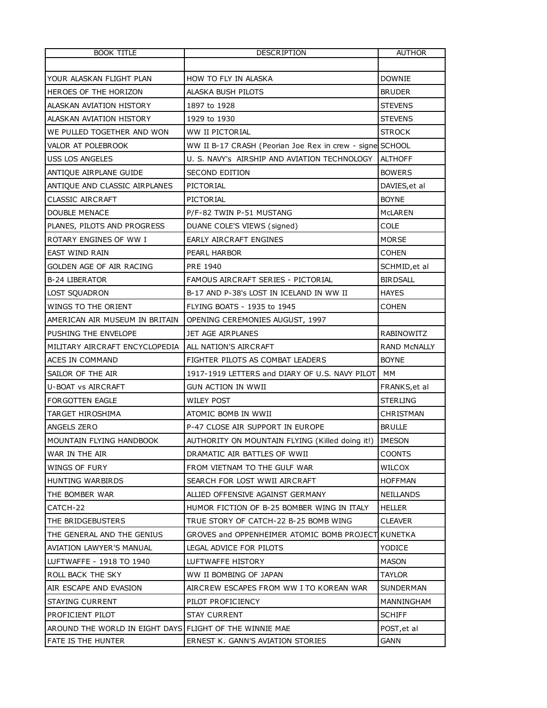| <b>BOOK TITLE</b>              | <b>DESCRIPTION</b>                                       | <b>AUTHOR</b>       |
|--------------------------------|----------------------------------------------------------|---------------------|
|                                |                                                          |                     |
| YOUR ALASKAN FLIGHT PLAN       | HOW TO FLY IN ALASKA                                     | <b>DOWNIE</b>       |
| HEROES OF THE HORIZON          | ALASKA BUSH PILOTS                                       | <b>BRUDER</b>       |
| ALASKAN AVIATION HISTORY       | 1897 to 1928                                             | <b>STEVENS</b>      |
| ALASKAN AVIATION HISTORY       | 1929 to 1930                                             | <b>STEVENS</b>      |
| WE PULLED TOGETHER AND WON     | WW II PICTORIAL                                          | <b>STROCK</b>       |
| VALOR AT POLEBROOK             | WW II B-17 CRASH (Peorian Joe Rex in crew - signe SCHOOL |                     |
| <b>USS LOS ANGELES</b>         | U. S. NAVY's AIRSHIP AND AVIATION TECHNOLOGY             | <b>ALTHOFF</b>      |
| ANTIQUE AIRPLANE GUIDE         | SECOND EDITION                                           | <b>BOWERS</b>       |
| ANTIQUE AND CLASSIC AIRPLANES  | PICTORIAL                                                | DAVIES, et al       |
| CLASSIC AIRCRAFT               | PICTORIAL                                                | <b>BOYNE</b>        |
| <b>DOUBLE MENACE</b>           | P/F-82 TWIN P-51 MUSTANG                                 | MCLAREN             |
| PLANES, PILOTS AND PROGRESS    | DUANE COLE'S VIEWS (signed)                              | COLE                |
| ROTARY ENGINES OF WW I         | <b>EARLY AIRCRAFT ENGINES</b>                            | <b>MORSE</b>        |
| EAST WIND RAIN                 | PEARL HARBOR                                             | <b>COHEN</b>        |
| GOLDEN AGE OF AIR RACING       | PRE 1940                                                 | SCHMID, et al       |
| <b>B-24 LIBERATOR</b>          | FAMOUS AIRCRAFT SERIES - PICTORIAL                       | <b>BIRDSALL</b>     |
| LOST SQUADRON                  | B-17 AND P-38's LOST IN ICELAND IN WW II                 | <b>HAYES</b>        |
| WINGS TO THE ORIENT            | FLYING BOATS - 1935 to 1945                              | COHEN               |
| AMERICAN AIR MUSEUM IN BRITAIN | OPENING CEREMONIES AUGUST, 1997                          |                     |
| PUSHING THE ENVELOPE           | JET AGE AIRPLANES                                        | RABINOWITZ          |
| MILITARY AIRCRAFT ENCYCLOPEDIA | ALL NATION'S AIRCRAFT                                    | <b>RAND McNALLY</b> |
| ACES IN COMMAND                | FIGHTER PILOTS AS COMBAT LEADERS                         | <b>BOYNE</b>        |
| SAILOR OF THE AIR              | 1917-1919 LETTERS and DIARY OF U.S. NAVY PILOT           | MМ                  |
| U-BOAT vs AIRCRAFT             | GUN ACTION IN WWII                                       | FRANKS, et al       |
| <b>FORGOTTEN EAGLE</b>         | <b>WILEY POST</b>                                        | <b>STERLING</b>     |
| TARGET HIROSHIMA               | ATOMIC BOMB IN WWII                                      | <b>CHRISTMAN</b>    |
| ANGELS ZERO                    | P-47 CLOSE AIR SUPPORT IN EUROPE                         | <b>BRULLE</b>       |
| MOUNTAIN FLYING HANDBOOK       | AUTHORITY ON MOUNTAIN FLYING (Killed doing it!)          | <b>IMESON</b>       |
| WAR IN THE AIR                 | DRAMATIC AIR BATTLES OF WWII                             | <b>COONTS</b>       |
| WINGS OF FURY                  | FROM VIETNAM TO THE GULF WAR                             | WILCOX              |
| <b>HUNTING WARBIRDS</b>        | SEARCH FOR LOST WWII AIRCRAFT                            | <b>HOFFMAN</b>      |
| THE BOMBER WAR                 | ALLIED OFFENSIVE AGAINST GERMANY                         | <b>NEILLANDS</b>    |
| CATCH-22                       | HUMOR FICTION OF B-25 BOMBER WING IN ITALY               | <b>HELLER</b>       |
| THE BRIDGEBUSTERS              | TRUE STORY OF CATCH-22 B-25 BOMB WING                    | <b>CLEAVER</b>      |
| THE GENERAL AND THE GENIUS     | GROVES and OPPENHEIMER ATOMIC BOMB PROJECT KUNETKA       |                     |
| AVIATION LAWYER'S MANUAL       | LEGAL ADVICE FOR PILOTS                                  | YODICE              |
| LUFTWAFFE - 1918 TO 1940       | LUFTWAFFE HISTORY                                        | MASON               |
| ROLL BACK THE SKY              | WW II BOMBING OF JAPAN                                   | TAYLOR              |
| AIR ESCAPE AND EVASION         | AIRCREW ESCAPES FROM WW I TO KOREAN WAR                  | SUNDERMAN           |
| <b>STAYING CURRENT</b>         | PILOT PROFICIENCY                                        | MANNINGHAM          |
| PROFICIENT PILOT               | <b>STAY CURRENT</b>                                      | <b>SCHIFF</b>       |
| AROUND THE WORLD IN EIGHT DAYS | FLIGHT OF THE WINNIE MAE                                 | POST, et al         |
| FATE IS THE HUNTER             | ERNEST K. GANN'S AVIATION STORIES                        | <b>GANN</b>         |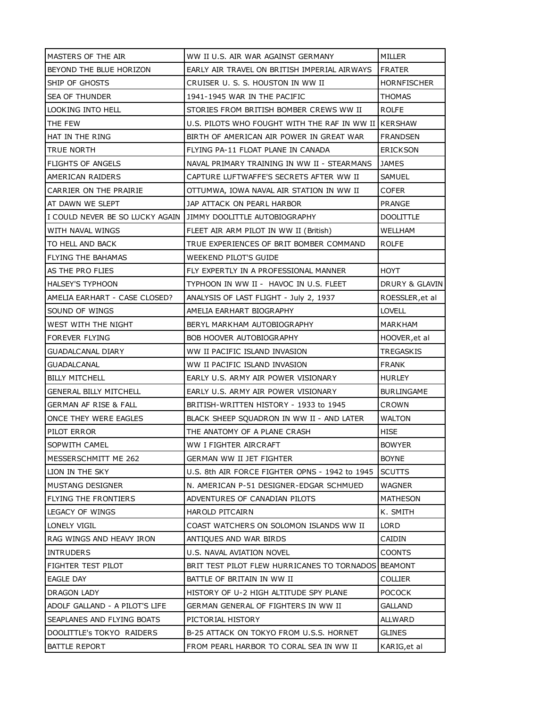| MASTERS OF THE AIR              | WW II U.S. AIR WAR AGAINST GERMANY                     | MILLER             |
|---------------------------------|--------------------------------------------------------|--------------------|
| BEYOND THE BLUE HORIZON         | EARLY AIR TRAVEL ON BRITISH IMPERIAL AIRWAYS           | <b>FRATER</b>      |
| SHIP OF GHOSTS                  | CRUISER U. S. S. HOUSTON IN WW II                      | <b>HORNFISCHER</b> |
| SEA OF THUNDER                  | 1941-1945 WAR IN THE PACIFIC                           | THOMAS             |
| LOOKING INTO HELL               | STORIES FROM BRITISH BOMBER CREWS WW II                | <b>ROLFE</b>       |
| THE FEW                         | U.S. PILOTS WHO FOUGHT WITH THE RAF IN WW II   KERSHAW |                    |
| HAT IN THE RING                 | BIRTH OF AMERICAN AIR POWER IN GREAT WAR               | <b>FRANDSEN</b>    |
| TRUE NORTH                      | FLYING PA-11 FLOAT PLANE IN CANADA                     | ERICKSON           |
| <b>FLIGHTS OF ANGELS</b>        | NAVAL PRIMARY TRAINING IN WW II - STEARMANS            | JAMES              |
| AMERICAN RAIDERS                | CAPTURE LUFTWAFFE'S SECRETS AFTER WW II                | SAMUEL             |
| CARRIER ON THE PRAIRIE          | OTTUMWA, IOWA NAVAL AIR STATION IN WW II               | <b>COFER</b>       |
| AT DAWN WE SLEPT                | JAP ATTACK ON PEARL HARBOR                             | <b>PRANGE</b>      |
| I COULD NEVER BE SO LUCKY AGAIN | JIMMY DOOLITTLE AUTOBIOGRAPHY                          | <b>DOOLITTLE</b>   |
| WITH NAVAL WINGS                | FLEET AIR ARM PILOT IN WW II (British)                 | WELLHAM            |
| TO HELL AND BACK                | TRUE EXPERIENCES OF BRIT BOMBER COMMAND                | <b>ROLFE</b>       |
| FLYING THE BAHAMAS              | WEEKEND PILOT'S GUIDE                                  |                    |
| AS THE PRO FLIES                | FLY EXPERTLY IN A PROFESSIONAL MANNER                  | <b>HOYT</b>        |
| HALSEY'S TYPHOON                | TYPHOON IN WW II - HAVOC IN U.S. FLEET                 | DRURY & GLAVIN     |
| AMELIA EARHART - CASE CLOSED?   | ANALYSIS OF LAST FLIGHT - July 2, 1937                 | ROESSLER, et al    |
| SOUND OF WINGS                  | AMELIA EARHART BIOGRAPHY                               | <b>LOVELL</b>      |
| WEST WITH THE NIGHT             | BERYL MARKHAM AUTOBIOGRAPHY                            | MARKHAM            |
| FOREVER FLYING                  | BOB HOOVER AUTOBIOGRAPHY                               | HOOVER, et al      |
| GUADALCANAL DIARY               | WW II PACIFIC ISLAND INVASION                          | TREGASKIS          |
| GUADALCANAL                     | WW II PACIFIC ISLAND INVASION                          | <b>FRANK</b>       |
| <b>BILLY MITCHELL</b>           | EARLY U.S. ARMY AIR POWER VISIONARY                    | HURLEY             |
| <b>GENERAL BILLY MITCHELL</b>   | EARLY U.S. ARMY AIR POWER VISIONARY                    | BURLINGAME         |
| GERMAN AF RISE & FALL           | BRITISH-WRITTEN HISTORY - 1933 to 1945                 | CROWN              |
| ONCE THEY WERE EAGLES           | BLACK SHEEP SQUADRON IN WW II - AND LATER              | <b>WALTON</b>      |
| PILOT ERROR                     | THE ANATOMY OF A PLANE CRASH                           | HISE               |
| SOPWITH CAMEL                   | WW I FIGHTER AIRCRAFT                                  | <b>BOWYER</b>      |
| MESSERSCHMITT ME 262            | GERMAN WW II JET FIGHTER                               | <b>BOYNE</b>       |
| LION IN THE SKY                 | U.S. 8th AIR FORCE FIGHTER OPNS - 1942 to 1945         | <b>SCUTTS</b>      |
| MUSTANG DESIGNER                | N. AMERICAN P-51 DESIGNER-EDGAR SCHMUED.               | WAGNER             |
| <b>FLYING THE FRONTIERS</b>     | ADVENTURES OF CANADIAN PILOTS                          | MATHESON           |
| LEGACY OF WINGS                 | <b>HAROLD PITCAIRN</b>                                 | K. SMITH           |
| LONELY VIGIL                    | COAST WATCHERS ON SOLOMON ISLANDS WW II                | LORD               |
| RAG WINGS AND HEAVY IRON        | ANTIQUES AND WAR BIRDS                                 | CAIDIN             |
| <b>INTRUDERS</b>                | U.S. NAVAL AVIATION NOVEL                              | COONTS             |
| FIGHTER TEST PILOT              | BRIT TEST PILOT FLEW HURRICANES TO TORNADOS BEAMONT    |                    |
| EAGLE DAY                       | BATTLE OF BRITAIN IN WW II                             | COLLIER            |
| DRAGON LADY                     | HISTORY OF U-2 HIGH ALTITUDE SPY PLANE                 | <b>POCOCK</b>      |
| ADOLF GALLAND - A PILOT'S LIFE  | GERMAN GENERAL OF FIGHTERS IN WW II                    | GALLAND            |
| SEAPLANES AND FLYING BOATS      | PICTORIAL HISTORY                                      | ALLWARD            |
| DOOLITTLE's TOKYO RAIDERS       | B-25 ATTACK ON TOKYO FROM U.S.S. HORNET                | GLINES             |
| <b>BATTLE REPORT</b>            | FROM PEARL HARBOR TO CORAL SEA IN WW II                | KARIG, et al       |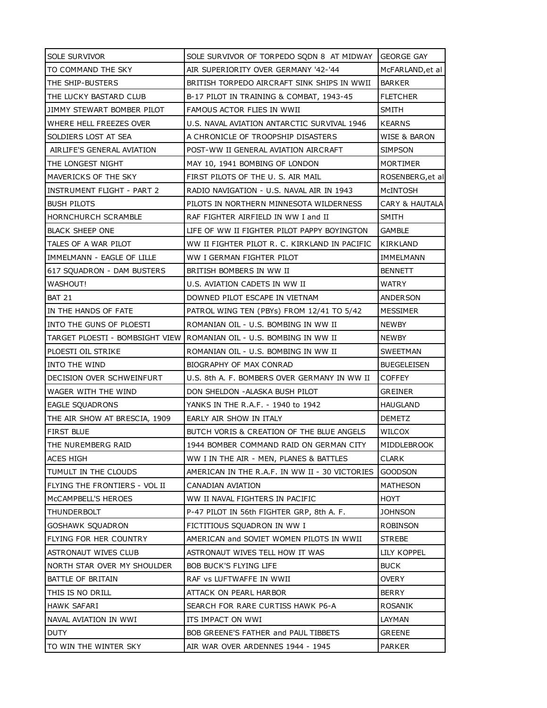| SOLE SURVIVOR                   | SOLE SURVIVOR OF TORPEDO SQDN 8 AT MIDWAY      | <b>GEORGE GAY</b>  |
|---------------------------------|------------------------------------------------|--------------------|
| TO COMMAND THE SKY              | AIR SUPERIORITY OVER GERMANY '42-'44           | McFARLAND, et al   |
| THE SHIP-BUSTERS                | BRITISH TORPEDO AIRCRAFT SINK SHIPS IN WWII    | <b>BARKER</b>      |
| THE LUCKY BASTARD CLUB          | B-17 PILOT IN TRAINING & COMBAT, 1943-45       | <b>FLETCHER</b>    |
| JIMMY STEWART BOMBER PILOT      | FAMOUS ACTOR FLIES IN WWII                     | SMITH              |
| WHERE HELL FREEZES OVER         | U.S. NAVAL AVIATION ANTARCTIC SURVIVAL 1946    | <b>KEARNS</b>      |
| SOLDIERS LOST AT SEA            | A CHRONICLE OF TROOPSHIP DISASTERS             | WISE & BARON       |
| AIRLIFE'S GENERAL AVIATION      | POST-WW II GENERAL AVIATION AIRCRAFT           | <b>SIMPSON</b>     |
| THE LONGEST NIGHT               | MAY 10, 1941 BOMBING OF LONDON                 | <b>MORTIMER</b>    |
| MAVERICKS OF THE SKY            | FIRST PILOTS OF THE U. S. AIR MAIL             | ROSENBERG, et al   |
| INSTRUMENT FLIGHT - PART 2      | RADIO NAVIGATION - U.S. NAVAL AIR IN 1943      | MCINTOSH           |
| <b>BUSH PILOTS</b>              | PILOTS IN NORTHERN MINNESOTA WILDERNESS        | CARY & HAUTALA     |
| HORNCHURCH SCRAMBLE             | RAF FIGHTER AIRFIELD IN WW I and II            | SMITH              |
| <b>BLACK SHEEP ONE</b>          | LIFE OF WW II FIGHTER PILOT PAPPY BOYINGTON    | <b>GAMBLE</b>      |
| TALES OF A WAR PILOT            | WW II FIGHTER PILOT R. C. KIRKLAND IN PACIFIC  | KIRKLAND           |
| IMMELMANN - EAGLE OF LILLE      | WW I GERMAN FIGHTER PILOT                      | IMMELMANN          |
| 617 SQUADRON - DAM BUSTERS      | BRITISH BOMBERS IN WW II                       | <b>BENNETT</b>     |
| <b>WASHOUT!</b>                 | U.S. AVIATION CADETS IN WW II                  | WATRY              |
| <b>BAT 21</b>                   | DOWNED PILOT ESCAPE IN VIETNAM                 | <b>ANDERSON</b>    |
| IN THE HANDS OF FATE            | PATROL WING TEN (PBYs) FROM 12/41 TO 5/42      | <b>MESSIMER</b>    |
| INTO THE GUNS OF PLOESTI        | ROMANIAN OIL - U.S. BOMBING IN WW II           | <b>NEWBY</b>       |
| TARGET PLOESTI - BOMBSIGHT VIEW | ROMANIAN OIL - U.S. BOMBING IN WW II           | <b>NEWBY</b>       |
| PLOESTI OIL STRIKE              | ROMANIAN OIL - U.S. BOMBING IN WW II           | <b>SWEETMAN</b>    |
| INTO THE WIND                   | BIOGRAPHY OF MAX CONRAD                        | <b>BUEGELEISEN</b> |
| DECISION OVER SCHWEINFURT       | U.S. 8th A. F. BOMBERS OVER GERMANY IN WW II   | <b>COFFEY</b>      |
| WAGER WITH THE WIND             | DON SHELDON - ALASKA BUSH PILOT                | GREINER            |
| EAGLE SQUADRONS                 | YANKS IN THE R.A.F. - 1940 to 1942             | <b>HAUGLAND</b>    |
| THE AIR SHOW AT BRESCIA, 1909   | EARLY AIR SHOW IN ITALY                        | <b>DEMETZ</b>      |
| <b>FIRST BLUE</b>               | BUTCH VORIS & CREATION OF THE BLUE ANGELS      | WILCOX             |
| THE NUREMBERG RAID              | 1944 BOMBER COMMAND RAID ON GERMAN CITY        | MIDDLEBROOK        |
| <b>ACES HIGH</b>                | WW I IN THE AIR - MEN, PLANES & BATTLES        | <b>CLARK</b>       |
| TUMULT IN THE CLOUDS            | AMERICAN IN THE R.A.F. IN WW II - 30 VICTORIES | <b>GOODSON</b>     |
| FLYING THE FRONTIERS - VOL II   | CANADIAN AVIATION                              | <b>MATHESON</b>    |
| MCCAMPBELL'S HEROES             | WW II NAVAL FIGHTERS IN PACIFIC                | HOYT               |
| THUNDERBOLT                     | P-47 PILOT IN 56th FIGHTER GRP, 8th A. F.      | <b>JOHNSON</b>     |
| <b>GOSHAWK SQUADRON</b>         | FICTITIOUS SQUADRON IN WW I                    | <b>ROBINSON</b>    |
| FLYING FOR HER COUNTRY          | AMERICAN and SOVIET WOMEN PILOTS IN WWII       | <b>STREBE</b>      |
| ASTRONAUT WIVES CLUB            | ASTRONAUT WIVES TELL HOW IT WAS                | <b>LILY KOPPEL</b> |
| NORTH STAR OVER MY SHOULDER     | <b>BOB BUCK'S FLYING LIFE</b>                  | <b>BUCK</b>        |
| BATTLE OF BRITAIN               | RAF vs LUFTWAFFE IN WWII                       | OVERY              |
| THIS IS NO DRILL                | ATTACK ON PEARL HARBOR                         | <b>BERRY</b>       |
| HAWK SAFARI                     | SEARCH FOR RARE CURTISS HAWK P6-A              | ROSANIK            |
| NAVAL AVIATION IN WWI           | ITS IMPACT ON WWI                              | LAYMAN             |
| <b>DUTY</b>                     | BOB GREENE'S FATHER and PAUL TIBBETS           | <b>GREENE</b>      |
| TO WIN THE WINTER SKY           | AIR WAR OVER ARDENNES 1944 - 1945              | PARKER             |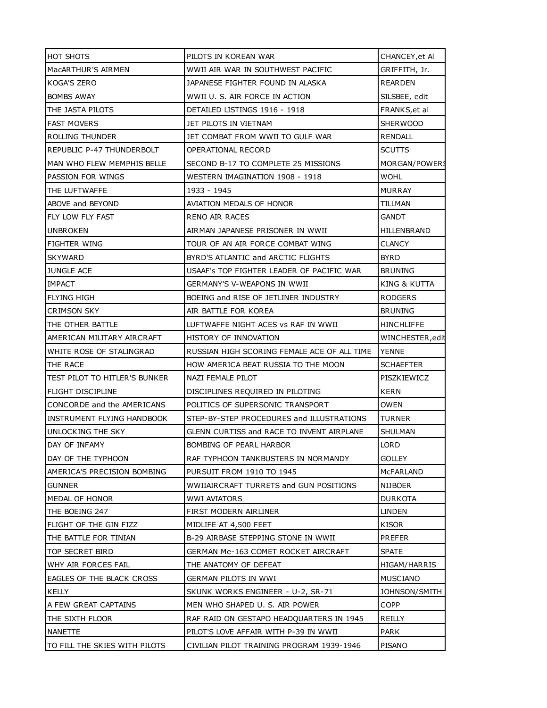| HOT SHOTS                     | PILOTS IN KOREAN WAR                        | CHANCEY, et Al     |
|-------------------------------|---------------------------------------------|--------------------|
| MacARTHUR'S AIRMEN            | WWII AIR WAR IN SOUTHWEST PACIFIC           | GRIFFITH, Jr.      |
| KOGA'S ZERO                   | JAPANESE FIGHTER FOUND IN ALASKA            | <b>REARDEN</b>     |
| <b>BOMBS AWAY</b>             | WWII U. S. AIR FORCE IN ACTION              | SILSBEE, edit      |
| THE JASTA PILOTS              | DETAILED LISTINGS 1916 - 1918               | FRANKS, et al      |
| <b>FAST MOVERS</b>            | JET PILOTS IN VIETNAM                       | <b>SHERWOOD</b>    |
| <b>ROLLING THUNDER</b>        | JET COMBAT FROM WWII TO GULF WAR            | <b>RENDALL</b>     |
| REPUBLIC P-47 THUNDERBOLT     | <b>OPERATIONAL RECORD</b>                   | <b>SCUTTS</b>      |
| MAN WHO FLEW MEMPHIS BELLE    | SECOND B-17 TO COMPLETE 25 MISSIONS         | MORGAN/POWERS      |
| PASSION FOR WINGS             | WESTERN IMAGINATION 1908 - 1918             | <b>WOHL</b>        |
| THE LUFTWAFFE                 | 1933 - 1945                                 | MURRAY             |
| ABOVE and BEYOND              | AVIATION MEDALS OF HONOR                    | TILLMAN            |
| FLY LOW FLY FAST              | RENO AIR RACES                              | <b>GANDT</b>       |
| <b>UNBROKEN</b>               | AIRMAN JAPANESE PRISONER IN WWII            | <b>HILLENBRAND</b> |
| <b>FIGHTER WING</b>           | TOUR OF AN AIR FORCE COMBAT WING            | <b>CLANCY</b>      |
| <b>SKYWARD</b>                | BYRD'S ATLANTIC and ARCTIC FLIGHTS          | <b>BYRD</b>        |
| <b>JUNGLE ACE</b>             | USAAF's TOP FIGHTER LEADER OF PACIFIC WAR   | <b>BRUNING</b>     |
| <b>IMPACT</b>                 | GERMANY'S V-WEAPONS IN WWII                 | KING & KUTTA       |
| <b>FLYING HIGH</b>            | BOEING and RISE OF JETLINER INDUSTRY        | <b>RODGERS</b>     |
| <b>CRIMSON SKY</b>            | AIR BATTLE FOR KOREA                        | <b>BRUNING</b>     |
| THE OTHER BATTLE              | LUFTWAFFE NIGHT ACES vs RAF IN WWII         | <b>HINCHLIFFE</b>  |
| AMERICAN MILITARY AIRCRAFT    | HISTORY OF INNOVATION                       | WINCHESTER, edit   |
| WHITE ROSE OF STALINGRAD      | RUSSIAN HIGH SCORING FEMALE ACE OF ALL TIME | <b>YENNE</b>       |
| THE RACE                      | HOW AMERICA BEAT RUSSIA TO THE MOON         | <b>SCHAEFTER</b>   |
| TEST PILOT TO HITLER'S BUNKER | NAZI FEMALE PILOT                           | PISZKIEWICZ        |
| <b>FLIGHT DISCIPLINE</b>      | DISCIPLINES REQUIRED IN PILOTING            | KERN               |
| CONCORDE and the AMERICANS    | POLITICS OF SUPERSONIC TRANSPORT            | <b>OWEN</b>        |
| INSTRUMENT FLYING HANDBOOK    | STEP-BY-STEP PROCEDURES and ILLUSTRATIONS   | TURNER             |
| UNLOCKING THE SKY             | GLENN CURTISS and RACE TO INVENT AIRPLANE   | SHULMAN            |
| DAY OF INFAMY                 | BOMBING OF PEARL HARBOR                     | <b>LORD</b>        |
| DAY OF THE TYPHOON            | RAF TYPHOON TANKBUSTERS IN NORMANDY         | GOLLEY             |
| AMERICA'S PRECISION BOMBING   | PURSUIT FROM 1910 TO 1945                   | MCFARLAND          |
| <b>GUNNER</b>                 | WWIIAIRCRAFT TURRETS and GUN POSITIONS      | <b>NIJBOER</b>     |
| MEDAL OF HONOR                | WWI AVIATORS                                | <b>DURKOTA</b>     |
| THE BOEING 247                | FIRST MODERN AIRLINER                       | <b>LINDEN</b>      |
| FLIGHT OF THE GIN FIZZ        | MIDLIFE AT 4,500 FEET                       | <b>KISOR</b>       |
| THE BATTLE FOR TINIAN         | B-29 AIRBASE STEPPING STONE IN WWII         | <b>PREFER</b>      |
| TOP SECRET BIRD               | GERMAN Me-163 COMET ROCKET AIRCRAFT         | <b>SPATE</b>       |
| WHY AIR FORCES FAIL           | THE ANATOMY OF DEFEAT                       | HIGAM/HARRIS       |
| EAGLES OF THE BLACK CROSS     | GERMAN PILOTS IN WWI                        | <b>MUSCIANO</b>    |
| KELLY                         | SKUNK WORKS ENGINEER - U-2, SR-71           | JOHNSON/SMITH      |
| A FEW GREAT CAPTAINS          | MEN WHO SHAPED U. S. AIR POWER              | <b>COPP</b>        |
| THE SIXTH FLOOR               | RAF RAID ON GESTAPO HEADQUARTERS IN 1945    | REILLY             |
| NANETTE                       | PILOT'S LOVE AFFAIR WITH P-39 IN WWII       | <b>PARK</b>        |
| TO FILL THE SKIES WITH PILOTS | CIVILIAN PILOT TRAINING PROGRAM 1939-1946   | PISANO             |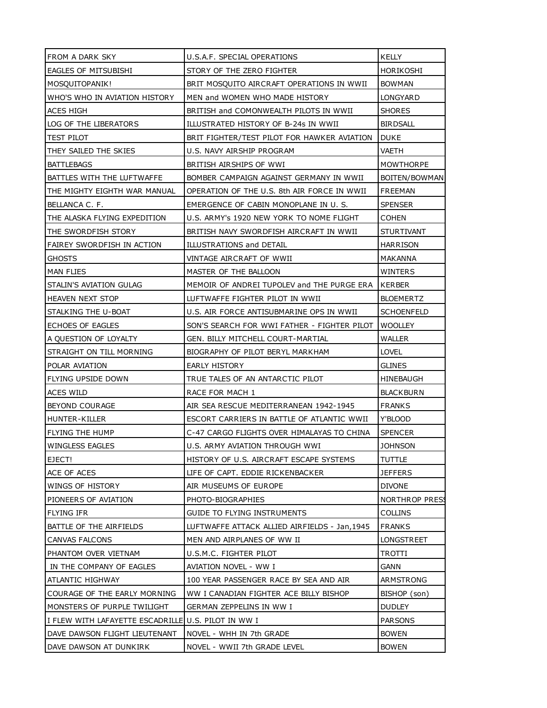| FROM A DARK SKY                                     | U.S.A.F. SPECIAL OPERATIONS                  | KELLY             |
|-----------------------------------------------------|----------------------------------------------|-------------------|
| EAGLES OF MITSUBISHI                                | STORY OF THE ZERO FIGHTER                    | HORIKOSHI         |
| MOSQUITOPANIK!                                      | BRIT MOSQUITO AIRCRAFT OPERATIONS IN WWII    | <b>BOWMAN</b>     |
| WHO'S WHO IN AVIATION HISTORY                       | MEN and WOMEN WHO MADE HISTORY               | LONGYARD          |
| ACES HIGH                                           | BRITISH and COMONWEALTH PILOTS IN WWII       | <b>SHORES</b>     |
| LOG OF THE LIBERATORS                               | ILLUSTRATED HISTORY OF B-24s IN WWII         | <b>BIRDSALL</b>   |
| <b>TEST PILOT</b>                                   | BRIT FIGHTER/TEST PILOT FOR HAWKER AVIATION  | <b>DUKE</b>       |
| THEY SAILED THE SKIES                               | U.S. NAVY AIRSHIP PROGRAM                    | VAETH             |
| <b>BATTLEBAGS</b>                                   | BRITISH AIRSHIPS OF WWI                      | MOWTHORPE         |
| BATTLES WITH THE LUFTWAFFE                          | BOMBER CAMPAIGN AGAINST GERMANY IN WWII      | BOITEN/BOWMAN     |
| THE MIGHTY EIGHTH WAR MANUAL                        | OPERATION OF THE U.S. 8th AIR FORCE IN WWII  | FREEMAN           |
| BELLANCA C. F.                                      | EMERGENCE OF CABIN MONOPLANE IN U.S.         | <b>SPENSER</b>    |
| THE ALASKA FLYING EXPEDITION                        | U.S. ARMY's 1920 NEW YORK TO NOME FLIGHT     | <b>COHEN</b>      |
| THE SWORDFISH STORY                                 | BRITISH NAVY SWORDFISH AIRCRAFT IN WWII      | <b>STURTIVANT</b> |
| <b>FAIREY SWORDFISH IN ACTION</b>                   | ILLUSTRATIONS and DETAIL                     | <b>HARRISON</b>   |
| <b>GHOSTS</b>                                       | VINTAGE AIRCRAFT OF WWII                     | MAKANNA           |
| MAN FLIES                                           | MASTER OF THE BALLOON                        | WINTERS           |
| STALIN'S AVIATION GULAG                             | MEMOIR OF ANDREI TUPOLEV and THE PURGE ERA   | KERBER            |
| <b>HEAVEN NEXT STOP</b>                             | LUFTWAFFE FIGHTER PILOT IN WWII              | <b>BLOEMERTZ</b>  |
| STALKING THE U-BOAT                                 | U.S. AIR FORCE ANTISUBMARINE OPS IN WWII     | <b>SCHOENFELD</b> |
| ECHOES OF EAGLES                                    | SON'S SEARCH FOR WWI FATHER - FIGHTER PILOT  | <b>WOOLLEY</b>    |
| A QUESTION OF LOYALTY                               | GEN. BILLY MITCHELL COURT-MARTIAL            | WALLER            |
| STRAIGHT ON TILL MORNING                            | BIOGRAPHY OF PILOT BERYL MARKHAM             | <b>LOVEL</b>      |
| POLAR AVIATION                                      | <b>EARLY HISTORY</b>                         | <b>GLINES</b>     |
| FLYING UPSIDE DOWN                                  | TRUE TALES OF AN ANTARCTIC PILOT             | HINEBAUGH         |
| ACES WILD                                           | RACE FOR MACH 1                              | <b>BLACKBURN</b>  |
| BEYOND COURAGE                                      | AIR SEA RESCUE MEDITERRANEAN 1942-1945       | <b>FRANKS</b>     |
| <b>HUNTER-KILLER</b>                                | ESCORT CARRIERS IN BATTLE OF ATLANTIC WWII   | Y'BLOOD           |
| <b>FLYING THE HUMP</b>                              | C-47 CARGO FLIGHTS OVER HIMALAYAS TO CHINA   | <b>SPENCER</b>    |
| <b>WINGLESS EAGLES</b>                              | U.S. ARMY AVIATION THROUGH WWI               | <b>JOHNSON</b>    |
| EJECT!                                              | HISTORY OF U.S. AIRCRAFT ESCAPE SYSTEMS      | <b>TUTTLE</b>     |
| ACE OF ACES                                         | LIFE OF CAPT. EDDIE RICKENBACKER             | <b>JEFFERS</b>    |
| WINGS OF HISTORY                                    | AIR MUSEUMS OF EUROPE                        | <b>DIVONE</b>     |
| PIONEERS OF AVIATION                                | PHOTO-BIOGRAPHIES                            | NORTHROP PRESS    |
| <b>FLYING IFR</b>                                   | <b>GUIDE TO FLYING INSTRUMENTS</b>           | <b>COLLINS</b>    |
| BATTLE OF THE AIRFIELDS                             | LUFTWAFFE ATTACK ALLIED AIRFIELDS - Jan,1945 | <b>FRANKS</b>     |
| <b>CANVAS FALCONS</b>                               | MEN AND AIRPLANES OF WW II                   | LONGSTREET        |
| PHANTOM OVER VIETNAM                                | U.S.M.C. FIGHTER PILOT                       | TROTTI            |
| IN THE COMPANY OF EAGLES                            | AVIATION NOVEL - WW I                        | GANN              |
| ATLANTIC HIGHWAY                                    | 100 YEAR PASSENGER RACE BY SEA AND AIR       | ARMSTRONG         |
| COURAGE OF THE EARLY MORNING                        | WW I CANADIAN FIGHTER ACE BILLY BISHOP       | BISHOP (son)      |
| MONSTERS OF PURPLE TWILIGHT                         | GERMAN ZEPPELINS IN WW I                     | <b>DUDLEY</b>     |
| I FLEW WITH LAFAYETTE ESCADRILLE U.S. PILOT IN WW I |                                              | <b>PARSONS</b>    |
| DAVE DAWSON FLIGHT LIEUTENANT                       | NOVEL - WHH IN 7th GRADE                     | <b>BOWEN</b>      |
| DAVE DAWSON AT DUNKIRK                              | NOVEL - WWII 7th GRADE LEVEL                 | <b>BOWEN</b>      |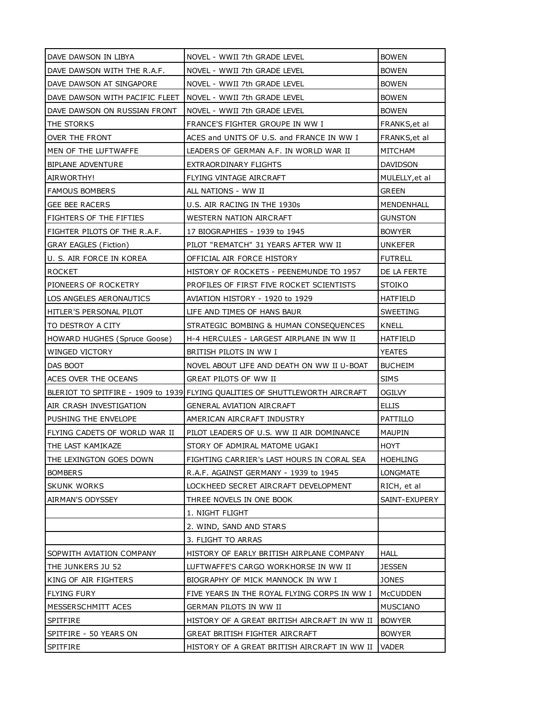| DAVE DAWSON IN LIBYA           | NOVEL - WWII 7th GRADE LEVEL                                                 | <b>BOWEN</b>    |
|--------------------------------|------------------------------------------------------------------------------|-----------------|
| DAVE DAWSON WITH THE R.A.F.    | NOVEL - WWII 7th GRADE LEVEL                                                 | <b>BOWEN</b>    |
| DAVE DAWSON AT SINGAPORE       | NOVEL - WWII 7th GRADE LEVEL                                                 | <b>BOWEN</b>    |
| DAVE DAWSON WITH PACIFIC FLEET | NOVEL - WWII 7th GRADE LEVEL                                                 | <b>BOWEN</b>    |
| DAVE DAWSON ON RUSSIAN FRONT   | NOVEL - WWII 7th GRADE LEVEL                                                 | <b>BOWEN</b>    |
| THE STORKS                     | FRANCE'S FIGHTER GROUPE IN WW I                                              | FRANKS, et al   |
| OVER THE FRONT                 | ACES and UNITS OF U.S. and FRANCE IN WW I                                    | FRANKS, et al   |
| MEN OF THE LUFTWAFFE           | LEADERS OF GERMAN A.F. IN WORLD WAR II                                       | MITCHAM         |
| <b>BIPLANE ADVENTURE</b>       | EXTRAORDINARY FLIGHTS                                                        | <b>DAVIDSON</b> |
| AIRWORTHY!                     | FLYING VINTAGE AIRCRAFT                                                      | MULELLY, et al  |
| <b>FAMOUS BOMBERS</b>          | ALL NATIONS - WW II                                                          | <b>GREEN</b>    |
| <b>GEE BEE RACERS</b>          | U.S. AIR RACING IN THE 1930s                                                 | MENDENHALL      |
| FIGHTERS OF THE FIFTIES        | WESTERN NATION AIRCRAFT                                                      | <b>GUNSTON</b>  |
| FIGHTER PILOTS OF THE R.A.F.   | 17 BIOGRAPHIES - 1939 to 1945                                                | <b>BOWYER</b>   |
| <b>GRAY EAGLES (Fiction)</b>   | PILOT "REMATCH" 31 YEARS AFTER WW II                                         | UNKEFER         |
| U. S. AIR FORCE IN KOREA       | OFFICIAL AIR FORCE HISTORY                                                   | <b>FUTRELL</b>  |
| <b>ROCKET</b>                  | HISTORY OF ROCKETS - PEENEMUNDE TO 1957                                      | DE LA FERTE     |
| PIONEERS OF ROCKETRY           | PROFILES OF FIRST FIVE ROCKET SCIENTISTS                                     | <b>STOIKO</b>   |
| LOS ANGELES AERONAUTICS        | AVIATION HISTORY - 1920 to 1929                                              | <b>HATFIELD</b> |
| HITLER'S PERSONAL PILOT        | LIFE AND TIMES OF HANS BAUR                                                  | SWEETING        |
| TO DESTROY A CITY              | STRATEGIC BOMBING & HUMAN CONSEQUENCES                                       | KNELL           |
| HOWARD HUGHES (Spruce Goose)   | H-4 HERCULES - LARGEST AIRPLANE IN WW II                                     | <b>HATFIELD</b> |
| WINGED VICTORY                 | BRITISH PILOTS IN WW I                                                       | <b>YEATES</b>   |
| DAS BOOT                       | NOVEL ABOUT LIFE AND DEATH ON WW II U-BOAT                                   | <b>BUCHEIM</b>  |
| ACES OVER THE OCEANS           | <b>GREAT PILOTS OF WW II</b>                                                 | SIMS            |
|                                | BLERIOT TO SPITFIRE - 1909 to 1939 FLYING QUALITIES OF SHUTTLEWORTH AIRCRAFT | <b>OGILVY</b>   |
| AIR CRASH INVESTIGATION        | <b>GENERAL AVIATION AIRCRAFT</b>                                             | <b>ELLIS</b>    |
| PUSHING THE ENVELOPE           | AMERICAN AIRCRAFT INDUSTRY                                                   | PATTILLO        |
| FLYING CADETS OF WORLD WAR II  | PILOT LEADERS OF U.S. WW II AIR DOMINANCE                                    | <b>MAUPIN</b>   |
| THE LAST KAMIKAZE              | STORY OF ADMIRAL MATOME UGAKI                                                | <b>HOYT</b>     |
| THE LEXINGTON GOES DOWN        | FIGHTING CARRIER's LAST HOURS IN CORAL SEA                                   | <b>HOEHLING</b> |
| <b>BOMBERS</b>                 | R.A.F. AGAINST GERMANY - 1939 to 1945                                        | <b>LONGMATE</b> |
| SKUNK WORKS                    | LOCKHEED SECRET AIRCRAFT DEVELOPMENT                                         | RICH, et al     |
| AIRMAN'S ODYSSEY               | THREE NOVELS IN ONE BOOK                                                     | SAINT-EXUPERY   |
|                                | 1. NIGHT FLIGHT                                                              |                 |
|                                | 2. WIND, SAND AND STARS                                                      |                 |
|                                | 3. FLIGHT TO ARRAS                                                           |                 |
| SOPWITH AVIATION COMPANY       | HISTORY OF EARLY BRITISH AIRPLANE COMPANY                                    | HALL            |
| THE JUNKERS JU 52              | LUFTWAFFE'S CARGO WORKHORSE IN WW II                                         | <b>JESSEN</b>   |
| KING OF AIR FIGHTERS           | BIOGRAPHY OF MICK MANNOCK IN WW I                                            | <b>JONES</b>    |
| <b>FLYING FURY</b>             | FIVE YEARS IN THE ROYAL FLYING CORPS IN WW I                                 | McCUDDEN        |
| MESSERSCHMITT ACES             | GERMAN PILOTS IN WW II                                                       | <b>MUSCIANO</b> |
| SPITFIRE                       | HISTORY OF A GREAT BRITISH AIRCRAFT IN WW II                                 | <b>BOWYER</b>   |
| SPITFIRE - 50 YEARS ON         | GREAT BRITISH FIGHTER AIRCRAFT                                               | <b>BOWYER</b>   |
| SPITFIRE                       | HISTORY OF A GREAT BRITISH AIRCRAFT IN WW II VADER                           |                 |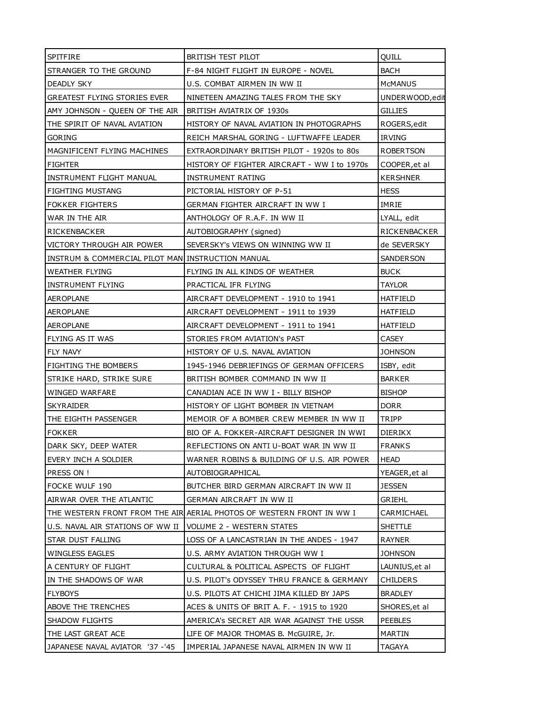| SPITFIRE                                           | BRITISH TEST PILOT                                                    | QUILL               |
|----------------------------------------------------|-----------------------------------------------------------------------|---------------------|
| STRANGER TO THE GROUND                             | F-84 NIGHT FLIGHT IN EUROPE - NOVEL                                   | <b>BACH</b>         |
| <b>DEADLY SKY</b>                                  | U.S. COMBAT AIRMEN IN WW II                                           | <b>MCMANUS</b>      |
| GREATEST FLYING STORIES EVER                       | NINETEEN AMAZING TALES FROM THE SKY                                   | UNDERWOOD, edit     |
| AMY JOHNSON - QUEEN OF THE AIR                     | BRITISH AVIATRIX OF 1930s                                             | <b>GILLIES</b>      |
| THE SPIRIT OF NAVAL AVIATION                       | HISTORY OF NAVAL AVIATION IN PHOTOGRAPHS                              | ROGERS, edit        |
| GORING                                             | REICH MARSHAL GORING - LUFTWAFFE LEADER                               | <b>IRVING</b>       |
| MAGNIFICENT FLYING MACHINES                        | EXTRAORDINARY BRITISH PILOT - 1920s to 80s                            | <b>ROBERTSON</b>    |
| FIGHTER                                            | HISTORY OF FIGHTER AIRCRAFT - WW I to 1970s                           | COOPER, et al       |
| INSTRUMENT FLIGHT MANUAL                           | <b>INSTRUMENT RATING</b>                                              | <b>KERSHNER</b>     |
| <b>FIGHTING MUSTANG</b>                            | PICTORIAL HISTORY OF P-51                                             | <b>HESS</b>         |
| <b>FOKKER FIGHTERS</b>                             | GERMAN FIGHTER AIRCRAFT IN WW I                                       | <b>IMRIE</b>        |
| WAR IN THE AIR                                     | ANTHOLOGY OF R.A.F. IN WW II                                          | LYALL, edit         |
| RICKENBACKER                                       | AUTOBIOGRAPHY (signed)                                                | <b>RICKENBACKER</b> |
| VICTORY THROUGH AIR POWER                          | SEVERSKY's VIEWS ON WINNING WW II                                     | de SEVERSKY         |
| INSTRUM & COMMERCIAL PILOT MANI INSTRUCTION MANUAL |                                                                       | <b>SANDERSON</b>    |
| <b>WEATHER FLYING</b>                              | FLYING IN ALL KINDS OF WEATHER                                        | <b>BUCK</b>         |
| <b>INSTRUMENT FLYING</b>                           | PRACTICAL IFR FLYING                                                  | <b>TAYLOR</b>       |
| AEROPLANE                                          | AIRCRAFT DEVELOPMENT - 1910 to 1941                                   | <b>HATFIELD</b>     |
| AEROPLANE                                          | AIRCRAFT DEVELOPMENT - 1911 to 1939                                   | <b>HATFIELD</b>     |
| AEROPLANE                                          | AIRCRAFT DEVELOPMENT - 1911 to 1941                                   | <b>HATFIELD</b>     |
| FLYING AS IT WAS                                   | STORIES FROM AVIATION's PAST                                          | CASEY               |
| FLY NAVY                                           | HISTORY OF U.S. NAVAL AVIATION                                        | <b>JOHNSON</b>      |
| FIGHTING THE BOMBERS                               | 1945-1946 DEBRIEFINGS OF GERMAN OFFICERS                              | ISBY, edit          |
| STRIKE HARD, STRIKE SURE                           | BRITISH BOMBER COMMAND IN WW II                                       | <b>BARKER</b>       |
| WINGED WARFARE                                     | CANADIAN ACE IN WW I - BILLY BISHOP                                   | <b>BISHOP</b>       |
| <b>SKYRAIDER</b>                                   | HISTORY OF LIGHT BOMBER IN VIETNAM                                    | <b>DORR</b>         |
| THE EIGHTH PASSENGER                               | MEMOIR OF A BOMBER CREW MEMBER IN WW II                               | TRIPP               |
| <b>FOKKER</b>                                      | BIO OF A. FOKKER-AIRCRAFT DESIGNER IN WWI                             | <b>DIERIKX</b>      |
| DARK SKY, DEEP WATER                               | REFLECTIONS ON ANTI U-BOAT WAR IN WW II                               | <b>FRANKS</b>       |
| EVERY INCH A SOLDIER                               | WARNER ROBINS & BUILDING OF U.S. AIR POWER                            | <b>HEAD</b>         |
| PRESS ON !                                         | AUTOBIOGRAPHICAL                                                      | YEAGER, et al       |
| FOCKE WULF 190                                     | BUTCHER BIRD GERMAN AIRCRAFT IN WW II                                 | <b>JESSEN</b>       |
| AIRWAR OVER THE ATLANTIC                           | GERMAN AIRCRAFT IN WW II                                              | GRIEHL              |
|                                                    | THE WESTERN FRONT FROM THE AIR AERIAL PHOTOS OF WESTERN FRONT IN WW I | CARMICHAEL          |
| U.S. NAVAL AIR STATIONS OF WW II                   | <b>VOLUME 2 - WESTERN STATES</b>                                      | <b>SHETTLE</b>      |
| STAR DUST FALLING                                  | LOSS OF A LANCASTRIAN IN THE ANDES - 1947                             | <b>RAYNER</b>       |
| WINGLESS EAGLES                                    | U.S. ARMY AVIATION THROUGH WW I                                       | <b>JOHNSON</b>      |
| A CENTURY OF FLIGHT                                | CULTURAL & POLITICAL ASPECTS OF FLIGHT                                | LAUNIUS, et al      |
| IN THE SHADOWS OF WAR                              | U.S. PILOT's ODYSSEY THRU FRANCE & GERMANY                            | CHILDERS            |
| <b>FLYBOYS</b>                                     | U.S. PILOTS AT CHICHI JIMA KILLED BY JAPS                             | <b>BRADLEY</b>      |
| ABOVE THE TRENCHES                                 | ACES & UNITS OF BRIT A. F. - 1915 to 1920                             | SHORES, et al       |
| SHADOW FLIGHTS                                     | AMERICA's SECRET AIR WAR AGAINST THE USSR                             | <b>PEEBLES</b>      |
| THE LAST GREAT ACE                                 | LIFE OF MAJOR THOMAS B. McGUIRE, Jr.                                  | <b>MARTIN</b>       |
| JAPANESE NAVAL AVIATOR '37 -'45                    | IMPERIAL JAPANESE NAVAL AIRMEN IN WW II                               | <b>TAGAYA</b>       |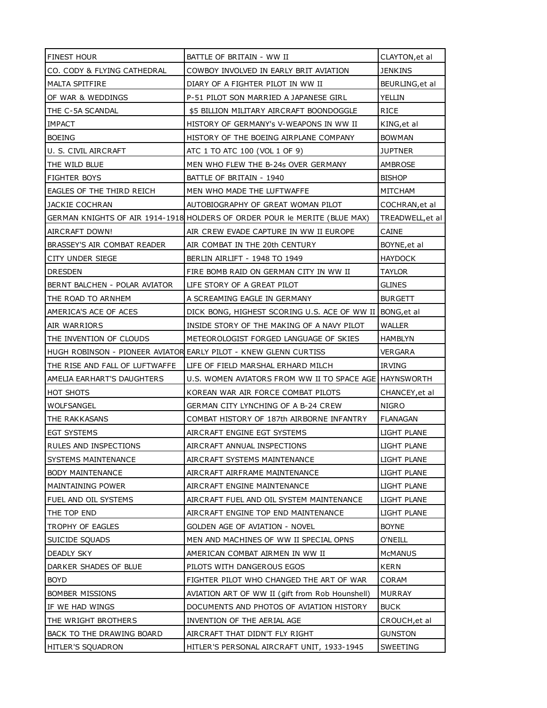| <b>FINEST HOUR</b>             | BATTLE OF BRITAIN - WW II                                                  | CLAYTON, et al     |
|--------------------------------|----------------------------------------------------------------------------|--------------------|
| CO. CODY & FLYING CATHEDRAL    | COWBOY INVOLVED IN EARLY BRIT AVIATION                                     | <b>JENKINS</b>     |
| MALTA SPITFIRE                 | DIARY OF A FIGHTER PILOT IN WW II                                          | BEURLING, et al    |
| OF WAR & WEDDINGS              | P-51 PILOT SON MARRIED A JAPANESE GIRL                                     | YELLIN             |
| THE C-5A SCANDAL               | \$5 BILLION MILITARY AIRCRAFT BOONDOGGLE                                   | <b>RICE</b>        |
| <b>IMPACT</b>                  | HISTORY OF GERMANY's V-WEAPONS IN WW II                                    | KING, et al        |
| <b>BOEING</b>                  | HISTORY OF THE BOEING AIRPLANE COMPANY                                     | <b>BOWMAN</b>      |
| U. S. CIVIL AIRCRAFT           | ATC 1 TO ATC 100 (VOL 1 OF 9)                                              | <b>JUPTNER</b>     |
| THE WILD BLUE                  | MEN WHO FLEW THE B-24s OVER GERMANY                                        | AMBROSE            |
| <b>FIGHTER BOYS</b>            | BATTLE OF BRITAIN - 1940                                                   | <b>BISHOP</b>      |
| EAGLES OF THE THIRD REICH      | MEN WHO MADE THE LUFTWAFFE                                                 | MITCHAM            |
| JACKIE COCHRAN                 | AUTOBIOGRAPHY OF GREAT WOMAN PILOT                                         | COCHRAN,et al      |
|                                | GERMAN KNIGHTS OF AIR 1914-1918 HOLDERS OF ORDER POUR le MERITE (BLUE MAX) | TREADWELL, et al   |
| AIRCRAFT DOWN!                 | AIR CREW EVADE CAPTURE IN WW II EUROPE                                     | CAINE              |
| BRASSEY'S AIR COMBAT READER    | AIR COMBAT IN THE 20th CENTURY                                             | BOYNE, et al       |
| <b>CITY UNDER SIEGE</b>        | BERLIN AIRLIFT - 1948 TO 1949                                              | <b>HAYDOCK</b>     |
| <b>DRESDEN</b>                 | FIRE BOMB RAID ON GERMAN CITY IN WW II                                     | TAYLOR             |
| BERNT BALCHEN - POLAR AVIATOR  | LIFE STORY OF A GREAT PILOT                                                | <b>GLINES</b>      |
| THE ROAD TO ARNHEM             | A SCREAMING EAGLE IN GERMANY                                               | <b>BURGETT</b>     |
| AMERICA'S ACE OF ACES          | DICK BONG, HIGHEST SCORING U.S. ACE OF WW II                               | BONG, et al        |
| AIR WARRIORS                   | INSIDE STORY OF THE MAKING OF A NAVY PILOT                                 | WALLER             |
| THE INVENTION OF CLOUDS        | METEOROLOGIST FORGED LANGUAGE OF SKIES                                     | <b>HAMBLYN</b>     |
|                                | HUGH ROBINSON - PIONEER AVIATOR EARLY PILOT - KNEW GLENN CURTISS           | <b>VERGARA</b>     |
| THE RISE AND FALL OF LUFTWAFFE | LIFE OF FIELD MARSHAL ERHARD MILCH                                         | <b>IRVING</b>      |
| AMELIA EARHART'S DAUGHTERS     | U.S. WOMEN AVIATORS FROM WW II TO SPACE AGE HAYNSWORTH                     |                    |
| HOT SHOTS                      | KOREAN WAR AIR FORCE COMBAT PILOTS                                         | CHANCEY, et al     |
| WOLFSANGEL                     | GERMAN CITY LYNCHING OF A B-24 CREW                                        | <b>NIGRO</b>       |
| THE RAKKASANS                  | COMBAT HISTORY OF 187th AIRBORNE INFANTRY                                  | <b>FLANAGAN</b>    |
| <b>EGT SYSTEMS</b>             | AIRCRAFT ENGINE EGT SYSTEMS                                                | <b>LIGHT PLANE</b> |
| RULES AND INSPECTIONS          | AIRCRAFT ANNUAL INSPECTIONS                                                | LIGHT PLANE        |
| SYSTEMS MAINTENANCE            | AIRCRAFT SYSTEMS MAINTENANCE                                               | <b>LIGHT PLANE</b> |
| <b>BODY MAINTENANCE</b>        | AIRCRAFT AIRFRAME MAINTENANCE                                              | <b>LIGHT PLANE</b> |
| <b>MAINTAINING POWER</b>       | AIRCRAFT ENGINE MAINTENANCE                                                | <b>LIGHT PLANE</b> |
| FUEL AND OIL SYSTEMS           | AIRCRAFT FUEL AND OIL SYSTEM MAINTENANCE                                   | <b>LIGHT PLANE</b> |
| THE TOP END                    | AIRCRAFT ENGINE TOP END MAINTENANCE                                        | LIGHT PLANE        |
| TROPHY OF EAGLES               | GOLDEN AGE OF AVIATION - NOVEL                                             | <b>BOYNE</b>       |
| SUICIDE SQUADS                 | MEN AND MACHINES OF WW II SPECIAL OPNS                                     | O'NEILL            |
| <b>DEADLY SKY</b>              | AMERICAN COMBAT AIRMEN IN WW II                                            | <b>MCMANUS</b>     |
| DARKER SHADES OF BLUE          | PILOTS WITH DANGEROUS EGOS                                                 | <b>KERN</b>        |
| <b>BOYD</b>                    | FIGHTER PILOT WHO CHANGED THE ART OF WAR                                   | <b>CORAM</b>       |
| <b>BOMBER MISSIONS</b>         | AVIATION ART OF WW II (gift from Rob Hounshell)                            | <b>MURRAY</b>      |
| IF WE HAD WINGS                | DOCUMENTS AND PHOTOS OF AVIATION HISTORY                                   | <b>BUCK</b>        |
| THE WRIGHT BROTHERS            | INVENTION OF THE AERIAL AGE                                                | CROUCH, et al      |
| BACK TO THE DRAWING BOARD      | AIRCRAFT THAT DIDN'T FLY RIGHT                                             | <b>GUNSTON</b>     |
| HITLER'S SQUADRON              | HITLER'S PERSONAL AIRCRAFT UNIT, 1933-1945                                 | SWEETING           |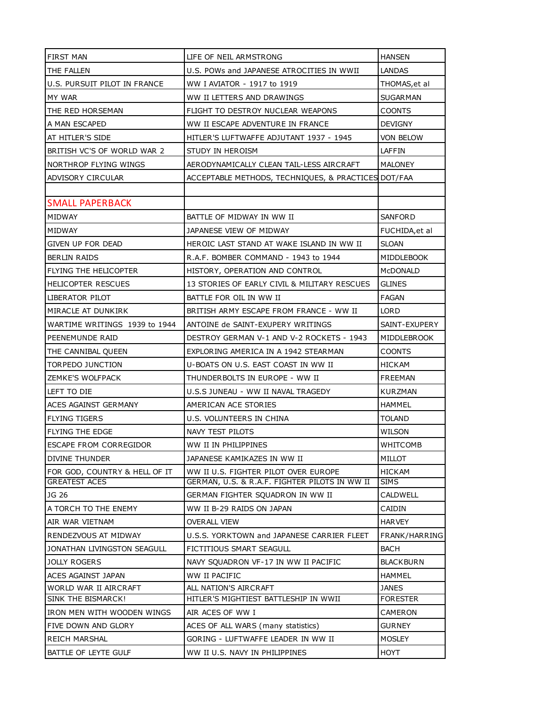| <b>FIRST MAN</b>              | LIFE OF NEIL ARMSTRONG                              | <b>HANSEN</b>      |
|-------------------------------|-----------------------------------------------------|--------------------|
| THE FALLEN                    | U.S. POWs and JAPANESE ATROCITIES IN WWII           | LANDAS             |
| U.S. PURSUIT PILOT IN FRANCE  | WW I AVIATOR - 1917 to 1919                         | THOMAS, et al      |
| MY WAR                        | WW II LETTERS AND DRAWINGS                          | SUGARMAN           |
| THE RED HORSEMAN              | FLIGHT TO DESTROY NUCLEAR WEAPONS                   | <b>COONTS</b>      |
| A MAN ESCAPED                 | WW II ESCAPE ADVENTURE IN FRANCE                    | <b>DEVIGNY</b>     |
| AT HITLER'S SIDE              | HITLER'S LUFTWAFFE ADJUTANT 1937 - 1945             | <b>VON BELOW</b>   |
| BRITISH VC'S OF WORLD WAR 2   | STUDY IN HEROISM                                    | LAFFIN             |
| NORTHROP FLYING WINGS         | AERODYNAMICALLY CLEAN TAIL-LESS AIRCRAFT            | <b>MALONEY</b>     |
| ADVISORY CIRCULAR             | ACCEPTABLE METHODS, TECHNIQUES, & PRACTICES DOT/FAA |                    |
|                               |                                                     |                    |
| <b>SMALL PAPERBACK</b>        |                                                     |                    |
| MIDWAY                        | BATTLE OF MIDWAY IN WW II                           | SANFORD            |
| MIDWAY                        | JAPANESE VIEW OF MIDWAY                             | FUCHIDA, et al     |
| GIVEN UP FOR DEAD             | HEROIC LAST STAND AT WAKE ISLAND IN WW II           | <b>SLOAN</b>       |
| <b>BERLIN RAIDS</b>           | R.A.F. BOMBER COMMAND - 1943 to 1944                | MIDDLEBOOK         |
| <b>FLYING THE HELICOPTER</b>  | HISTORY, OPERATION AND CONTROL                      | McDONALD           |
| HELICOPTER RESCUES            | 13 STORIES OF EARLY CIVIL & MILITARY RESCUES        | <b>GLINES</b>      |
| LIBERATOR PILOT               | BATTLE FOR OIL IN WW II                             | FAGAN              |
| MIRACLE AT DUNKIRK            | BRITISH ARMY ESCAPE FROM FRANCE - WW II             | LORD               |
| WARTIME WRITINGS 1939 to 1944 | ANTOINE de SAINT-EXUPERY WRITINGS                   | SAINT-EXUPERY      |
| PEENEMUNDE RAID               | DESTROY GERMAN V-1 AND V-2 ROCKETS - 1943           | <b>MIDDLEBROOK</b> |
| THE CANNIBAL QUEEN            | EXPLORING AMERICA IN A 1942 STEARMAN                | COONTS             |
| TORPEDO JUNCTION              | U-BOATS ON U.S. EAST COAST IN WW II                 | <b>HICKAM</b>      |
| ZEMKE'S WOLFPACK              | THUNDERBOLTS IN EUROPE - WW II                      | FREEMAN            |
| LEFT TO DIE                   | U.S.S JUNEAU - WW II NAVAL TRAGEDY                  | <b>KURZMAN</b>     |
| ACES AGAINST GERMANY          | AMERICAN ACE STORIES                                | HAMMEL             |
| <b>FLYING TIGERS</b>          | U.S. VOLUNTEERS IN CHINA                            | TOLAND             |
| <b>FLYING THE EDGE</b>        | NAVY TEST PILOTS                                    | WILSON             |
| <b>ESCAPE FROM CORREGIDOR</b> | WW II IN PHILIPPINES                                | WHITCOMB           |
| <b>DIVINE THUNDER</b>         | JAPANESE KAMIKAZES IN WW II                         | MILLOT             |
| FOR GOD, COUNTRY & HELL OF IT | WW II U.S. FIGHTER PILOT OVER EUROPE                | <b>HICKAM</b>      |
| <b>GREATEST ACES</b>          | GERMAN, U.S. & R.A.F. FIGHTER PILOTS IN WW II       | <b>SIMS</b>        |
| JG 26                         | GERMAN FIGHTER SQUADRON IN WW II                    | CALDWELL           |
| A TORCH TO THE ENEMY          | WW II B-29 RAIDS ON JAPAN                           | CAIDIN             |
| AIR WAR VIETNAM               | OVERALL VIEW                                        | <b>HARVEY</b>      |
| RENDEZVOUS AT MIDWAY          | U.S.S. YORKTOWN and JAPANESE CARRIER FLEET          | FRANK/HARRING      |
| JONATHAN LIVINGSTON SEAGULL   | FICTITIOUS SMART SEAGULL                            | <b>BACH</b>        |
| <b>JOLLY ROGERS</b>           | NAVY SQUADRON VF-17 IN WW II PACIFIC                | BLACKBURN          |
| ACES AGAINST JAPAN            | WW II PACIFIC                                       | HAMMEL             |
| WORLD WAR II AIRCRAFT         | ALL NATION'S AIRCRAFT                               | <b>JANES</b>       |
| SINK THE BISMARCK!            | HITLER'S MIGHTIEST BATTLESHIP IN WWII               | <b>FORESTER</b>    |
| IRON MEN WITH WOODEN WINGS    | AIR ACES OF WW I                                    | CAMERON            |
| FIVE DOWN AND GLORY           | ACES OF ALL WARS (many statistics)                  | <b>GURNEY</b>      |
| REICH MARSHAL                 | GORING - LUFTWAFFE LEADER IN WW II                  | <b>MOSLEY</b>      |
| BATTLE OF LEYTE GULF          | WW II U.S. NAVY IN PHILIPPINES                      | HOYT               |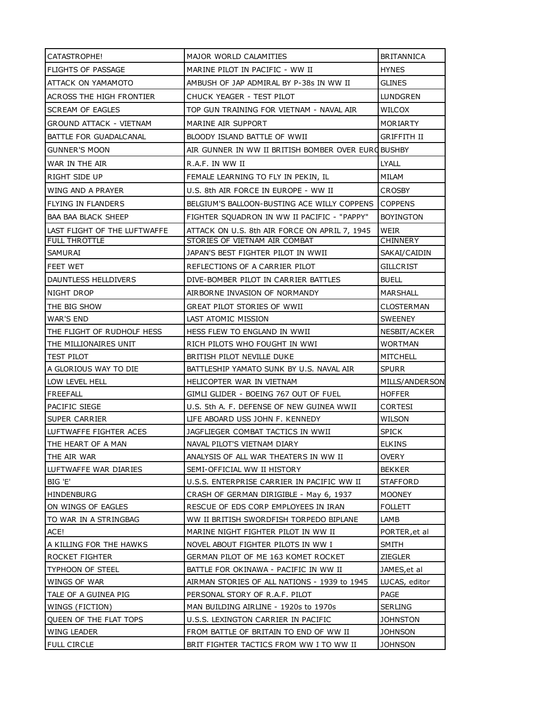| CATASTROPHE!                   | MAJOR WORLD CALAMITIES                              | <b>BRITANNICA</b> |
|--------------------------------|-----------------------------------------------------|-------------------|
| <b>FLIGHTS OF PASSAGE</b>      | MARINE PILOT IN PACIFIC - WW II                     | <b>HYNES</b>      |
| ATTACK ON YAMAMOTO             | AMBUSH OF JAP ADMIRAL BY P-38s IN WW II             | <b>GLINES</b>     |
| ACROSS THE HIGH FRONTIER       | CHUCK YEAGER - TEST PILOT                           | <b>LUNDGREN</b>   |
| <b>SCREAM OF EAGLES</b>        | TOP GUN TRAINING FOR VIETNAM - NAVAL AIR            | <b>WILCOX</b>     |
| <b>GROUND ATTACK - VIETNAM</b> | MARINE AIR SUPPORT                                  | MORIARTY          |
| BATTLE FOR GUADALCANAL         | BLOODY ISLAND BATTLE OF WWII                        | GRIFFITH II       |
| <b>GUNNER'S MOON</b>           | AIR GUNNER IN WW II BRITISH BOMBER OVER EURO BUSHBY |                   |
| WAR IN THE AIR                 | R.A.F. IN WW II                                     | <b>LYALL</b>      |
| RIGHT SIDE UP                  | FEMALE LEARNING TO FLY IN PEKIN, IL                 | MILAM             |
| WING AND A PRAYER              | U.S. 8th AIR FORCE IN EUROPE - WW II                | <b>CROSBY</b>     |
| <b>FLYING IN FLANDERS</b>      | BELGIUM'S BALLOON-BUSTING ACE WILLY COPPENS         | <b>COPPENS</b>    |
| <b>BAA BAA BLACK SHEEP</b>     | FIGHTER SQUADRON IN WW II PACIFIC - "PAPPY"         | <b>BOYINGTON</b>  |
| LAST FLIGHT OF THE LUFTWAFFE   | ATTACK ON U.S. 8th AIR FORCE ON APRIL 7, 1945       | WEIR              |
| <b>FULL THROTTLE</b>           | STORIES OF VIETNAM AIR COMBAT                       | <b>CHINNERY</b>   |
| SAMURAI                        | JAPAN'S BEST FIGHTER PILOT IN WWII                  | SAKAI/CAIDIN      |
| FEET WET                       | REFLECTIONS OF A CARRIER PILOT                      | <b>GILLCRIST</b>  |
| <b>DAUNTLESS HELLDIVERS</b>    | DIVE-BOMBER PILOT IN CARRIER BATTLES                | <b>BUELL</b>      |
| NIGHT DROP                     | AIRBORNE INVASION OF NORMANDY                       | <b>MARSHALL</b>   |
| THE BIG SHOW                   | GREAT PILOT STORIES OF WWII                         | <b>CLOSTERMAN</b> |
| WAR'S END                      | LAST ATOMIC MISSION                                 | <b>SWEENEY</b>    |
| THE FLIGHT OF RUDHOLF HESS     | HESS FLEW TO ENGLAND IN WWII                        | NESBIT/ACKER      |
| THE MILLIONAIRES UNIT          | RICH PILOTS WHO FOUGHT IN WWI                       | <b>WORTMAN</b>    |
| <b>TEST PILOT</b>              | BRITISH PILOT NEVILLE DUKE                          | MITCHELL          |
| A GLORIOUS WAY TO DIE          | BATTLESHIP YAMATO SUNK BY U.S. NAVAL AIR            | <b>SPURR</b>      |
| LOW LEVEL HELL                 | HELICOPTER WAR IN VIETNAM                           | MILLS/ANDERSON    |
| FREEFALL                       | GIMLI GLIDER - BOEING 767 OUT OF FUEL               | <b>HOFFER</b>     |
| PACIFIC SIEGE                  | U.S. 5th A. F. DEFENSE OF NEW GUINEA WWII           | <b>CORTESI</b>    |
| <b>SUPER CARRIER</b>           | LIFE ABOARD USS JOHN F. KENNEDY                     | WILSON            |
| LUFTWAFFE FIGHTER ACES         | JAGFLIEGER COMBAT TACTICS IN WWII                   | <b>SPICK</b>      |
| THE HEART OF A MAN             | NAVAL PILOT'S VIETNAM DIARY                         | <b>ELKINS</b>     |
| THE AIR WAR                    | ANALYSIS OF ALL WAR THEATERS IN WW II               | <b>OVERY</b>      |
| LUFTWAFFE WAR DIARIES          | SEMI-OFFICIAL WW II HISTORY                         | <b>BEKKER</b>     |
| BIG 'E'                        | U.S.S. ENTERPRISE CARRIER IN PACIFIC WW II          | <b>STAFFORD</b>   |
| HINDENBURG                     | CRASH OF GERMAN DIRIGIBLE - May 6, 1937             | <b>MOONEY</b>     |
| ON WINGS OF EAGLES             | RESCUE OF EDS CORP EMPLOYEES IN IRAN                | <b>FOLLETT</b>    |
| TO WAR IN A STRINGBAG          | WW II BRITISH SWORDFISH TORPEDO BIPLANE             | LAMB              |
| ACE!                           | MARINE NIGHT FIGHTER PILOT IN WW II                 | PORTER, et al     |
| A KILLING FOR THE HAWKS        | NOVEL ABOUT FIGHTER PILOTS IN WW I                  | <b>SMITH</b>      |
| ROCKET FIGHTER                 | GERMAN PILOT OF ME 163 KOMET ROCKET                 | ZIEGLER           |
| TYPHOON OF STEEL               | BATTLE FOR OKINAWA - PACIFIC IN WW II               | JAMES, et al      |
| WINGS OF WAR                   | AIRMAN STORIES OF ALL NATIONS - 1939 to 1945        | LUCAS, editor     |
| TALE OF A GUINEA PIG           | PERSONAL STORY OF R.A.F. PILOT                      | PAGE              |
| WINGS (FICTION)                | MAN BUILDING AIRLINE - 1920s to 1970s               | <b>SERLING</b>    |
| QUEEN OF THE FLAT TOPS         | U.S.S. LEXINGTON CARRIER IN PACIFIC                 | <b>JOHNSTON</b>   |
| <b>WING LEADER</b>             | FROM BATTLE OF BRITAIN TO END OF WW II              | <b>JOHNSON</b>    |
| <b>FULL CIRCLE</b>             | BRIT FIGHTER TACTICS FROM WW I TO WW II             | <b>JOHNSON</b>    |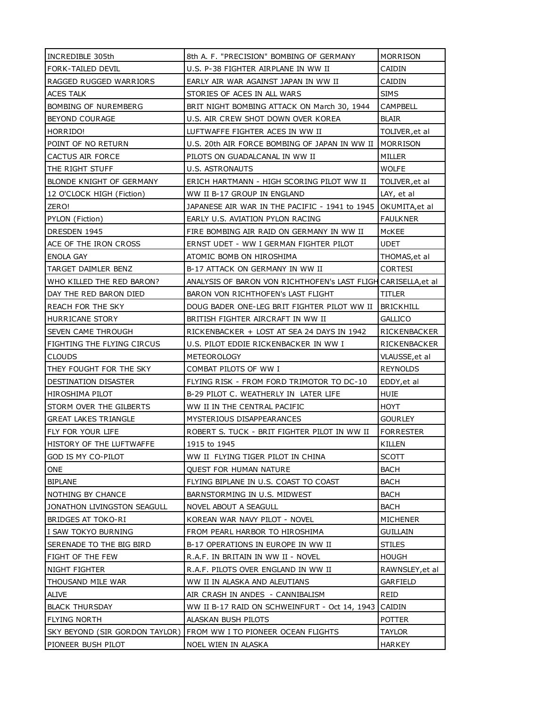| FORK-TAILED DEVIL<br>U.S. P-38 FIGHTER AIRPLANE IN WW II<br>CAIDIN<br>RAGGED RUGGED WARRIORS<br>EARLY AIR WAR AGAINST JAPAN IN WW II<br>CAIDIN<br><b>ACES TALK</b><br>STORIES OF ACES IN ALL WARS<br>SIMS<br>BOMBING OF NUREMBERG<br>BRIT NIGHT BOMBING ATTACK ON March 30, 1944<br>CAMPBELL<br><b>BLAIR</b><br><b>BEYOND COURAGE</b><br>U.S. AIR CREW SHOT DOWN OVER KOREA<br>HORRIDO!<br>LUFTWAFFE FIGHTER ACES IN WW II<br>TOLIVER, et al<br>POINT OF NO RETURN<br>U.S. 20th AIR FORCE BOMBING OF JAPAN IN WW II   MORRISON<br>MILLER<br><b>CACTUS AIR FORCE</b><br>PILOTS ON GUADALCANAL IN WW II<br>THE RIGHT STUFF<br><b>U.S. ASTRONAUTS</b><br>WOLFE<br>BLONDE KNIGHT OF GERMANY<br>ERICH HARTMANN - HIGH SCORING PILOT WW II<br>TOLIVER, et al<br>WW II B-17 GROUP IN ENGLAND<br>LAY, et al<br>12 O'CLOCK HIGH (Fiction)<br>ZERO!<br>JAPANESE AIR WAR IN THE PACIFIC - 1941 to 1945<br>OKUMITA, et al<br>PYLON (Fiction)<br>EARLY U.S. AVIATION PYLON RACING<br><b>FAULKNER</b><br>DRESDEN 1945<br>FIRE BOMBING AIR RAID ON GERMANY IN WW II<br>McKEE<br>ACE OF THE IRON CROSS<br>ERNST UDET - WW I GERMAN FIGHTER PILOT<br><b>UDET</b><br><b>ENOLA GAY</b><br>ATOMIC BOMB ON HIROSHIMA<br>THOMAS,et al<br><b>CORTESI</b><br>TARGET DAIMLER BENZ<br>B-17 ATTACK ON GERMANY IN WW II<br>WHO KILLED THE RED BARON?<br>ANALYSIS OF BARON VON RICHTHOFEN's LAST FLIGH CARISELLA, et al.<br>DAY THE RED BARON DIED<br>BARON VON RICHTHOFEN'S LAST FLIGHT<br><b>TITLER</b><br>REACH FOR THE SKY<br>DOUG BADER ONE-LEG BRIT FIGHTER PILOT WW II<br><b>BRICKHILL</b><br>HURRICANE STORY<br>BRITISH FIGHTER AIRCRAFT IN WW II<br><b>GALLICO</b><br>SEVEN CAME THROUGH<br>RICKENBACKER + LOST AT SEA 24 DAYS IN 1942<br>RICKENBACKER<br>FIGHTING THE FLYING CIRCUS<br>U.S. PILOT EDDIE RICKENBACKER IN WW I<br>RICKENBACKER<br><b>CLOUDS</b><br>METEOROLOGY<br>VLAUSSE, et al<br>THEY FOUGHT FOR THE SKY<br>COMBAT PILOTS OF WW I<br><b>REYNOLDS</b><br>DESTINATION DISASTER<br>FLYING RISK - FROM FORD TRIMOTOR TO DC-10<br>EDDY, et al<br>HIROSHIMA PILOT<br>B-29 PILOT C. WEATHERLY IN LATER LIFE<br>HUIE<br><b>HOYT</b><br>STORM OVER THE GILBERTS<br>WW II IN THE CENTRAL PACIFIC<br><b>GREAT LAKES TRIANGLE</b><br>MYSTERIOUS DISAPPEARANCES<br><b>GOURLEY</b><br>FLY FOR YOUR LIFE<br>ROBERT S. TUCK - BRIT FIGHTER PILOT IN WW II<br><b>FORRESTER</b><br><b>KILLEN</b><br>HISTORY OF THE LUFTWAFFE<br>1915 to 1945<br>GOD IS MY CO-PILOT<br><b>SCOTT</b><br>WW II FLYING TIGER PILOT IN CHINA<br><b>ONE</b><br>QUEST FOR HUMAN NATURE<br><b>BACH</b><br><b>BIPLANE</b><br>FLYING BIPLANE IN U.S. COAST TO COAST<br><b>BACH</b><br><b>BACH</b><br>NOTHING BY CHANCE<br>BARNSTORMING IN U.S. MIDWEST<br>JONATHON LIVINGSTON SEAGULL<br>NOVEL ABOUT A SEAGULL<br>BACH<br>BRIDGES AT TOKO-RI<br>KOREAN WAR NAVY PILOT - NOVEL<br><b>MICHENER</b><br><b>GUILLAIN</b><br>I SAW TOKYO BURNING<br>FROM PEARL HARBOR TO HIROSHIMA<br>SERENADE TO THE BIG BIRD<br>B-17 OPERATIONS IN EUROPE IN WW II<br><b>STILES</b><br>FIGHT OF THE FEW<br>R.A.F. IN BRITAIN IN WW II - NOVEL<br><b>HOUGH</b><br>R.A.F. PILOTS OVER ENGLAND IN WW II<br>NIGHT FIGHTER<br>RAWNSLEY, et al<br>THOUSAND MILE WAR<br>WW II IN ALASKA AND ALEUTIANS<br>GARFIELD<br><b>ALIVE</b><br>AIR CRASH IN ANDES - CANNIBALISM<br>REID<br><b>BLACK THURSDAY</b><br>WW II B-17 RAID ON SCHWEINFURT - Oct 14, 1943<br>CAIDIN<br><b>FLYING NORTH</b><br>ALASKAN BUSH PILOTS<br><b>POTTER</b><br>SKY BEYOND (SIR GORDON TAYLOR)<br>FROM WW I TO PIONEER OCEAN FLIGHTS<br><b>TAYLOR</b> | INCREDIBLE 305th   | 8th A. F. "PRECISION" BOMBING OF GERMANY | MORRISON      |
|--------------------------------------------------------------------------------------------------------------------------------------------------------------------------------------------------------------------------------------------------------------------------------------------------------------------------------------------------------------------------------------------------------------------------------------------------------------------------------------------------------------------------------------------------------------------------------------------------------------------------------------------------------------------------------------------------------------------------------------------------------------------------------------------------------------------------------------------------------------------------------------------------------------------------------------------------------------------------------------------------------------------------------------------------------------------------------------------------------------------------------------------------------------------------------------------------------------------------------------------------------------------------------------------------------------------------------------------------------------------------------------------------------------------------------------------------------------------------------------------------------------------------------------------------------------------------------------------------------------------------------------------------------------------------------------------------------------------------------------------------------------------------------------------------------------------------------------------------------------------------------------------------------------------------------------------------------------------------------------------------------------------------------------------------------------------------------------------------------------------------------------------------------------------------------------------------------------------------------------------------------------------------------------------------------------------------------------------------------------------------------------------------------------------------------------------------------------------------------------------------------------------------------------------------------------------------------------------------------------------------------------------------------------------------------------------------------------------------------------------------------------------------------------------------------------------------------------------------------------------------------------------------------------------------------------------------------------------------------------------------------------------------------------------------------------------------------------------------------------------------------------------------------------------------------------------------------------------------------------------------------------------------------------------------------------------------------------------------------------------------------------------------------------------------------------------------------------------------------------------------------------------------------------------------|--------------------|------------------------------------------|---------------|
|                                                                                                                                                                                                                                                                                                                                                                                                                                                                                                                                                                                                                                                                                                                                                                                                                                                                                                                                                                                                                                                                                                                                                                                                                                                                                                                                                                                                                                                                                                                                                                                                                                                                                                                                                                                                                                                                                                                                                                                                                                                                                                                                                                                                                                                                                                                                                                                                                                                                                                                                                                                                                                                                                                                                                                                                                                                                                                                                                                                                                                                                                                                                                                                                                                                                                                                                                                                                                                                                                                                                                  |                    |                                          |               |
|                                                                                                                                                                                                                                                                                                                                                                                                                                                                                                                                                                                                                                                                                                                                                                                                                                                                                                                                                                                                                                                                                                                                                                                                                                                                                                                                                                                                                                                                                                                                                                                                                                                                                                                                                                                                                                                                                                                                                                                                                                                                                                                                                                                                                                                                                                                                                                                                                                                                                                                                                                                                                                                                                                                                                                                                                                                                                                                                                                                                                                                                                                                                                                                                                                                                                                                                                                                                                                                                                                                                                  |                    |                                          |               |
|                                                                                                                                                                                                                                                                                                                                                                                                                                                                                                                                                                                                                                                                                                                                                                                                                                                                                                                                                                                                                                                                                                                                                                                                                                                                                                                                                                                                                                                                                                                                                                                                                                                                                                                                                                                                                                                                                                                                                                                                                                                                                                                                                                                                                                                                                                                                                                                                                                                                                                                                                                                                                                                                                                                                                                                                                                                                                                                                                                                                                                                                                                                                                                                                                                                                                                                                                                                                                                                                                                                                                  |                    |                                          |               |
|                                                                                                                                                                                                                                                                                                                                                                                                                                                                                                                                                                                                                                                                                                                                                                                                                                                                                                                                                                                                                                                                                                                                                                                                                                                                                                                                                                                                                                                                                                                                                                                                                                                                                                                                                                                                                                                                                                                                                                                                                                                                                                                                                                                                                                                                                                                                                                                                                                                                                                                                                                                                                                                                                                                                                                                                                                                                                                                                                                                                                                                                                                                                                                                                                                                                                                                                                                                                                                                                                                                                                  |                    |                                          |               |
|                                                                                                                                                                                                                                                                                                                                                                                                                                                                                                                                                                                                                                                                                                                                                                                                                                                                                                                                                                                                                                                                                                                                                                                                                                                                                                                                                                                                                                                                                                                                                                                                                                                                                                                                                                                                                                                                                                                                                                                                                                                                                                                                                                                                                                                                                                                                                                                                                                                                                                                                                                                                                                                                                                                                                                                                                                                                                                                                                                                                                                                                                                                                                                                                                                                                                                                                                                                                                                                                                                                                                  |                    |                                          |               |
|                                                                                                                                                                                                                                                                                                                                                                                                                                                                                                                                                                                                                                                                                                                                                                                                                                                                                                                                                                                                                                                                                                                                                                                                                                                                                                                                                                                                                                                                                                                                                                                                                                                                                                                                                                                                                                                                                                                                                                                                                                                                                                                                                                                                                                                                                                                                                                                                                                                                                                                                                                                                                                                                                                                                                                                                                                                                                                                                                                                                                                                                                                                                                                                                                                                                                                                                                                                                                                                                                                                                                  |                    |                                          |               |
|                                                                                                                                                                                                                                                                                                                                                                                                                                                                                                                                                                                                                                                                                                                                                                                                                                                                                                                                                                                                                                                                                                                                                                                                                                                                                                                                                                                                                                                                                                                                                                                                                                                                                                                                                                                                                                                                                                                                                                                                                                                                                                                                                                                                                                                                                                                                                                                                                                                                                                                                                                                                                                                                                                                                                                                                                                                                                                                                                                                                                                                                                                                                                                                                                                                                                                                                                                                                                                                                                                                                                  |                    |                                          |               |
|                                                                                                                                                                                                                                                                                                                                                                                                                                                                                                                                                                                                                                                                                                                                                                                                                                                                                                                                                                                                                                                                                                                                                                                                                                                                                                                                                                                                                                                                                                                                                                                                                                                                                                                                                                                                                                                                                                                                                                                                                                                                                                                                                                                                                                                                                                                                                                                                                                                                                                                                                                                                                                                                                                                                                                                                                                                                                                                                                                                                                                                                                                                                                                                                                                                                                                                                                                                                                                                                                                                                                  |                    |                                          |               |
|                                                                                                                                                                                                                                                                                                                                                                                                                                                                                                                                                                                                                                                                                                                                                                                                                                                                                                                                                                                                                                                                                                                                                                                                                                                                                                                                                                                                                                                                                                                                                                                                                                                                                                                                                                                                                                                                                                                                                                                                                                                                                                                                                                                                                                                                                                                                                                                                                                                                                                                                                                                                                                                                                                                                                                                                                                                                                                                                                                                                                                                                                                                                                                                                                                                                                                                                                                                                                                                                                                                                                  |                    |                                          |               |
|                                                                                                                                                                                                                                                                                                                                                                                                                                                                                                                                                                                                                                                                                                                                                                                                                                                                                                                                                                                                                                                                                                                                                                                                                                                                                                                                                                                                                                                                                                                                                                                                                                                                                                                                                                                                                                                                                                                                                                                                                                                                                                                                                                                                                                                                                                                                                                                                                                                                                                                                                                                                                                                                                                                                                                                                                                                                                                                                                                                                                                                                                                                                                                                                                                                                                                                                                                                                                                                                                                                                                  |                    |                                          |               |
|                                                                                                                                                                                                                                                                                                                                                                                                                                                                                                                                                                                                                                                                                                                                                                                                                                                                                                                                                                                                                                                                                                                                                                                                                                                                                                                                                                                                                                                                                                                                                                                                                                                                                                                                                                                                                                                                                                                                                                                                                                                                                                                                                                                                                                                                                                                                                                                                                                                                                                                                                                                                                                                                                                                                                                                                                                                                                                                                                                                                                                                                                                                                                                                                                                                                                                                                                                                                                                                                                                                                                  |                    |                                          |               |
|                                                                                                                                                                                                                                                                                                                                                                                                                                                                                                                                                                                                                                                                                                                                                                                                                                                                                                                                                                                                                                                                                                                                                                                                                                                                                                                                                                                                                                                                                                                                                                                                                                                                                                                                                                                                                                                                                                                                                                                                                                                                                                                                                                                                                                                                                                                                                                                                                                                                                                                                                                                                                                                                                                                                                                                                                                                                                                                                                                                                                                                                                                                                                                                                                                                                                                                                                                                                                                                                                                                                                  |                    |                                          |               |
|                                                                                                                                                                                                                                                                                                                                                                                                                                                                                                                                                                                                                                                                                                                                                                                                                                                                                                                                                                                                                                                                                                                                                                                                                                                                                                                                                                                                                                                                                                                                                                                                                                                                                                                                                                                                                                                                                                                                                                                                                                                                                                                                                                                                                                                                                                                                                                                                                                                                                                                                                                                                                                                                                                                                                                                                                                                                                                                                                                                                                                                                                                                                                                                                                                                                                                                                                                                                                                                                                                                                                  |                    |                                          |               |
|                                                                                                                                                                                                                                                                                                                                                                                                                                                                                                                                                                                                                                                                                                                                                                                                                                                                                                                                                                                                                                                                                                                                                                                                                                                                                                                                                                                                                                                                                                                                                                                                                                                                                                                                                                                                                                                                                                                                                                                                                                                                                                                                                                                                                                                                                                                                                                                                                                                                                                                                                                                                                                                                                                                                                                                                                                                                                                                                                                                                                                                                                                                                                                                                                                                                                                                                                                                                                                                                                                                                                  |                    |                                          |               |
|                                                                                                                                                                                                                                                                                                                                                                                                                                                                                                                                                                                                                                                                                                                                                                                                                                                                                                                                                                                                                                                                                                                                                                                                                                                                                                                                                                                                                                                                                                                                                                                                                                                                                                                                                                                                                                                                                                                                                                                                                                                                                                                                                                                                                                                                                                                                                                                                                                                                                                                                                                                                                                                                                                                                                                                                                                                                                                                                                                                                                                                                                                                                                                                                                                                                                                                                                                                                                                                                                                                                                  |                    |                                          |               |
|                                                                                                                                                                                                                                                                                                                                                                                                                                                                                                                                                                                                                                                                                                                                                                                                                                                                                                                                                                                                                                                                                                                                                                                                                                                                                                                                                                                                                                                                                                                                                                                                                                                                                                                                                                                                                                                                                                                                                                                                                                                                                                                                                                                                                                                                                                                                                                                                                                                                                                                                                                                                                                                                                                                                                                                                                                                                                                                                                                                                                                                                                                                                                                                                                                                                                                                                                                                                                                                                                                                                                  |                    |                                          |               |
|                                                                                                                                                                                                                                                                                                                                                                                                                                                                                                                                                                                                                                                                                                                                                                                                                                                                                                                                                                                                                                                                                                                                                                                                                                                                                                                                                                                                                                                                                                                                                                                                                                                                                                                                                                                                                                                                                                                                                                                                                                                                                                                                                                                                                                                                                                                                                                                                                                                                                                                                                                                                                                                                                                                                                                                                                                                                                                                                                                                                                                                                                                                                                                                                                                                                                                                                                                                                                                                                                                                                                  |                    |                                          |               |
|                                                                                                                                                                                                                                                                                                                                                                                                                                                                                                                                                                                                                                                                                                                                                                                                                                                                                                                                                                                                                                                                                                                                                                                                                                                                                                                                                                                                                                                                                                                                                                                                                                                                                                                                                                                                                                                                                                                                                                                                                                                                                                                                                                                                                                                                                                                                                                                                                                                                                                                                                                                                                                                                                                                                                                                                                                                                                                                                                                                                                                                                                                                                                                                                                                                                                                                                                                                                                                                                                                                                                  |                    |                                          |               |
|                                                                                                                                                                                                                                                                                                                                                                                                                                                                                                                                                                                                                                                                                                                                                                                                                                                                                                                                                                                                                                                                                                                                                                                                                                                                                                                                                                                                                                                                                                                                                                                                                                                                                                                                                                                                                                                                                                                                                                                                                                                                                                                                                                                                                                                                                                                                                                                                                                                                                                                                                                                                                                                                                                                                                                                                                                                                                                                                                                                                                                                                                                                                                                                                                                                                                                                                                                                                                                                                                                                                                  |                    |                                          |               |
|                                                                                                                                                                                                                                                                                                                                                                                                                                                                                                                                                                                                                                                                                                                                                                                                                                                                                                                                                                                                                                                                                                                                                                                                                                                                                                                                                                                                                                                                                                                                                                                                                                                                                                                                                                                                                                                                                                                                                                                                                                                                                                                                                                                                                                                                                                                                                                                                                                                                                                                                                                                                                                                                                                                                                                                                                                                                                                                                                                                                                                                                                                                                                                                                                                                                                                                                                                                                                                                                                                                                                  |                    |                                          |               |
|                                                                                                                                                                                                                                                                                                                                                                                                                                                                                                                                                                                                                                                                                                                                                                                                                                                                                                                                                                                                                                                                                                                                                                                                                                                                                                                                                                                                                                                                                                                                                                                                                                                                                                                                                                                                                                                                                                                                                                                                                                                                                                                                                                                                                                                                                                                                                                                                                                                                                                                                                                                                                                                                                                                                                                                                                                                                                                                                                                                                                                                                                                                                                                                                                                                                                                                                                                                                                                                                                                                                                  |                    |                                          |               |
|                                                                                                                                                                                                                                                                                                                                                                                                                                                                                                                                                                                                                                                                                                                                                                                                                                                                                                                                                                                                                                                                                                                                                                                                                                                                                                                                                                                                                                                                                                                                                                                                                                                                                                                                                                                                                                                                                                                                                                                                                                                                                                                                                                                                                                                                                                                                                                                                                                                                                                                                                                                                                                                                                                                                                                                                                                                                                                                                                                                                                                                                                                                                                                                                                                                                                                                                                                                                                                                                                                                                                  |                    |                                          |               |
|                                                                                                                                                                                                                                                                                                                                                                                                                                                                                                                                                                                                                                                                                                                                                                                                                                                                                                                                                                                                                                                                                                                                                                                                                                                                                                                                                                                                                                                                                                                                                                                                                                                                                                                                                                                                                                                                                                                                                                                                                                                                                                                                                                                                                                                                                                                                                                                                                                                                                                                                                                                                                                                                                                                                                                                                                                                                                                                                                                                                                                                                                                                                                                                                                                                                                                                                                                                                                                                                                                                                                  |                    |                                          |               |
|                                                                                                                                                                                                                                                                                                                                                                                                                                                                                                                                                                                                                                                                                                                                                                                                                                                                                                                                                                                                                                                                                                                                                                                                                                                                                                                                                                                                                                                                                                                                                                                                                                                                                                                                                                                                                                                                                                                                                                                                                                                                                                                                                                                                                                                                                                                                                                                                                                                                                                                                                                                                                                                                                                                                                                                                                                                                                                                                                                                                                                                                                                                                                                                                                                                                                                                                                                                                                                                                                                                                                  |                    |                                          |               |
|                                                                                                                                                                                                                                                                                                                                                                                                                                                                                                                                                                                                                                                                                                                                                                                                                                                                                                                                                                                                                                                                                                                                                                                                                                                                                                                                                                                                                                                                                                                                                                                                                                                                                                                                                                                                                                                                                                                                                                                                                                                                                                                                                                                                                                                                                                                                                                                                                                                                                                                                                                                                                                                                                                                                                                                                                                                                                                                                                                                                                                                                                                                                                                                                                                                                                                                                                                                                                                                                                                                                                  |                    |                                          |               |
|                                                                                                                                                                                                                                                                                                                                                                                                                                                                                                                                                                                                                                                                                                                                                                                                                                                                                                                                                                                                                                                                                                                                                                                                                                                                                                                                                                                                                                                                                                                                                                                                                                                                                                                                                                                                                                                                                                                                                                                                                                                                                                                                                                                                                                                                                                                                                                                                                                                                                                                                                                                                                                                                                                                                                                                                                                                                                                                                                                                                                                                                                                                                                                                                                                                                                                                                                                                                                                                                                                                                                  |                    |                                          |               |
|                                                                                                                                                                                                                                                                                                                                                                                                                                                                                                                                                                                                                                                                                                                                                                                                                                                                                                                                                                                                                                                                                                                                                                                                                                                                                                                                                                                                                                                                                                                                                                                                                                                                                                                                                                                                                                                                                                                                                                                                                                                                                                                                                                                                                                                                                                                                                                                                                                                                                                                                                                                                                                                                                                                                                                                                                                                                                                                                                                                                                                                                                                                                                                                                                                                                                                                                                                                                                                                                                                                                                  |                    |                                          |               |
|                                                                                                                                                                                                                                                                                                                                                                                                                                                                                                                                                                                                                                                                                                                                                                                                                                                                                                                                                                                                                                                                                                                                                                                                                                                                                                                                                                                                                                                                                                                                                                                                                                                                                                                                                                                                                                                                                                                                                                                                                                                                                                                                                                                                                                                                                                                                                                                                                                                                                                                                                                                                                                                                                                                                                                                                                                                                                                                                                                                                                                                                                                                                                                                                                                                                                                                                                                                                                                                                                                                                                  |                    |                                          |               |
|                                                                                                                                                                                                                                                                                                                                                                                                                                                                                                                                                                                                                                                                                                                                                                                                                                                                                                                                                                                                                                                                                                                                                                                                                                                                                                                                                                                                                                                                                                                                                                                                                                                                                                                                                                                                                                                                                                                                                                                                                                                                                                                                                                                                                                                                                                                                                                                                                                                                                                                                                                                                                                                                                                                                                                                                                                                                                                                                                                                                                                                                                                                                                                                                                                                                                                                                                                                                                                                                                                                                                  |                    |                                          |               |
|                                                                                                                                                                                                                                                                                                                                                                                                                                                                                                                                                                                                                                                                                                                                                                                                                                                                                                                                                                                                                                                                                                                                                                                                                                                                                                                                                                                                                                                                                                                                                                                                                                                                                                                                                                                                                                                                                                                                                                                                                                                                                                                                                                                                                                                                                                                                                                                                                                                                                                                                                                                                                                                                                                                                                                                                                                                                                                                                                                                                                                                                                                                                                                                                                                                                                                                                                                                                                                                                                                                                                  |                    |                                          |               |
|                                                                                                                                                                                                                                                                                                                                                                                                                                                                                                                                                                                                                                                                                                                                                                                                                                                                                                                                                                                                                                                                                                                                                                                                                                                                                                                                                                                                                                                                                                                                                                                                                                                                                                                                                                                                                                                                                                                                                                                                                                                                                                                                                                                                                                                                                                                                                                                                                                                                                                                                                                                                                                                                                                                                                                                                                                                                                                                                                                                                                                                                                                                                                                                                                                                                                                                                                                                                                                                                                                                                                  |                    |                                          |               |
|                                                                                                                                                                                                                                                                                                                                                                                                                                                                                                                                                                                                                                                                                                                                                                                                                                                                                                                                                                                                                                                                                                                                                                                                                                                                                                                                                                                                                                                                                                                                                                                                                                                                                                                                                                                                                                                                                                                                                                                                                                                                                                                                                                                                                                                                                                                                                                                                                                                                                                                                                                                                                                                                                                                                                                                                                                                                                                                                                                                                                                                                                                                                                                                                                                                                                                                                                                                                                                                                                                                                                  |                    |                                          |               |
|                                                                                                                                                                                                                                                                                                                                                                                                                                                                                                                                                                                                                                                                                                                                                                                                                                                                                                                                                                                                                                                                                                                                                                                                                                                                                                                                                                                                                                                                                                                                                                                                                                                                                                                                                                                                                                                                                                                                                                                                                                                                                                                                                                                                                                                                                                                                                                                                                                                                                                                                                                                                                                                                                                                                                                                                                                                                                                                                                                                                                                                                                                                                                                                                                                                                                                                                                                                                                                                                                                                                                  |                    |                                          |               |
|                                                                                                                                                                                                                                                                                                                                                                                                                                                                                                                                                                                                                                                                                                                                                                                                                                                                                                                                                                                                                                                                                                                                                                                                                                                                                                                                                                                                                                                                                                                                                                                                                                                                                                                                                                                                                                                                                                                                                                                                                                                                                                                                                                                                                                                                                                                                                                                                                                                                                                                                                                                                                                                                                                                                                                                                                                                                                                                                                                                                                                                                                                                                                                                                                                                                                                                                                                                                                                                                                                                                                  |                    |                                          |               |
|                                                                                                                                                                                                                                                                                                                                                                                                                                                                                                                                                                                                                                                                                                                                                                                                                                                                                                                                                                                                                                                                                                                                                                                                                                                                                                                                                                                                                                                                                                                                                                                                                                                                                                                                                                                                                                                                                                                                                                                                                                                                                                                                                                                                                                                                                                                                                                                                                                                                                                                                                                                                                                                                                                                                                                                                                                                                                                                                                                                                                                                                                                                                                                                                                                                                                                                                                                                                                                                                                                                                                  |                    |                                          |               |
|                                                                                                                                                                                                                                                                                                                                                                                                                                                                                                                                                                                                                                                                                                                                                                                                                                                                                                                                                                                                                                                                                                                                                                                                                                                                                                                                                                                                                                                                                                                                                                                                                                                                                                                                                                                                                                                                                                                                                                                                                                                                                                                                                                                                                                                                                                                                                                                                                                                                                                                                                                                                                                                                                                                                                                                                                                                                                                                                                                                                                                                                                                                                                                                                                                                                                                                                                                                                                                                                                                                                                  |                    |                                          |               |
|                                                                                                                                                                                                                                                                                                                                                                                                                                                                                                                                                                                                                                                                                                                                                                                                                                                                                                                                                                                                                                                                                                                                                                                                                                                                                                                                                                                                                                                                                                                                                                                                                                                                                                                                                                                                                                                                                                                                                                                                                                                                                                                                                                                                                                                                                                                                                                                                                                                                                                                                                                                                                                                                                                                                                                                                                                                                                                                                                                                                                                                                                                                                                                                                                                                                                                                                                                                                                                                                                                                                                  |                    |                                          |               |
|                                                                                                                                                                                                                                                                                                                                                                                                                                                                                                                                                                                                                                                                                                                                                                                                                                                                                                                                                                                                                                                                                                                                                                                                                                                                                                                                                                                                                                                                                                                                                                                                                                                                                                                                                                                                                                                                                                                                                                                                                                                                                                                                                                                                                                                                                                                                                                                                                                                                                                                                                                                                                                                                                                                                                                                                                                                                                                                                                                                                                                                                                                                                                                                                                                                                                                                                                                                                                                                                                                                                                  |                    |                                          |               |
|                                                                                                                                                                                                                                                                                                                                                                                                                                                                                                                                                                                                                                                                                                                                                                                                                                                                                                                                                                                                                                                                                                                                                                                                                                                                                                                                                                                                                                                                                                                                                                                                                                                                                                                                                                                                                                                                                                                                                                                                                                                                                                                                                                                                                                                                                                                                                                                                                                                                                                                                                                                                                                                                                                                                                                                                                                                                                                                                                                                                                                                                                                                                                                                                                                                                                                                                                                                                                                                                                                                                                  |                    |                                          |               |
|                                                                                                                                                                                                                                                                                                                                                                                                                                                                                                                                                                                                                                                                                                                                                                                                                                                                                                                                                                                                                                                                                                                                                                                                                                                                                                                                                                                                                                                                                                                                                                                                                                                                                                                                                                                                                                                                                                                                                                                                                                                                                                                                                                                                                                                                                                                                                                                                                                                                                                                                                                                                                                                                                                                                                                                                                                                                                                                                                                                                                                                                                                                                                                                                                                                                                                                                                                                                                                                                                                                                                  |                    |                                          |               |
|                                                                                                                                                                                                                                                                                                                                                                                                                                                                                                                                                                                                                                                                                                                                                                                                                                                                                                                                                                                                                                                                                                                                                                                                                                                                                                                                                                                                                                                                                                                                                                                                                                                                                                                                                                                                                                                                                                                                                                                                                                                                                                                                                                                                                                                                                                                                                                                                                                                                                                                                                                                                                                                                                                                                                                                                                                                                                                                                                                                                                                                                                                                                                                                                                                                                                                                                                                                                                                                                                                                                                  |                    |                                          |               |
|                                                                                                                                                                                                                                                                                                                                                                                                                                                                                                                                                                                                                                                                                                                                                                                                                                                                                                                                                                                                                                                                                                                                                                                                                                                                                                                                                                                                                                                                                                                                                                                                                                                                                                                                                                                                                                                                                                                                                                                                                                                                                                                                                                                                                                                                                                                                                                                                                                                                                                                                                                                                                                                                                                                                                                                                                                                                                                                                                                                                                                                                                                                                                                                                                                                                                                                                                                                                                                                                                                                                                  |                    |                                          |               |
|                                                                                                                                                                                                                                                                                                                                                                                                                                                                                                                                                                                                                                                                                                                                                                                                                                                                                                                                                                                                                                                                                                                                                                                                                                                                                                                                                                                                                                                                                                                                                                                                                                                                                                                                                                                                                                                                                                                                                                                                                                                                                                                                                                                                                                                                                                                                                                                                                                                                                                                                                                                                                                                                                                                                                                                                                                                                                                                                                                                                                                                                                                                                                                                                                                                                                                                                                                                                                                                                                                                                                  |                    |                                          |               |
|                                                                                                                                                                                                                                                                                                                                                                                                                                                                                                                                                                                                                                                                                                                                                                                                                                                                                                                                                                                                                                                                                                                                                                                                                                                                                                                                                                                                                                                                                                                                                                                                                                                                                                                                                                                                                                                                                                                                                                                                                                                                                                                                                                                                                                                                                                                                                                                                                                                                                                                                                                                                                                                                                                                                                                                                                                                                                                                                                                                                                                                                                                                                                                                                                                                                                                                                                                                                                                                                                                                                                  |                    |                                          |               |
|                                                                                                                                                                                                                                                                                                                                                                                                                                                                                                                                                                                                                                                                                                                                                                                                                                                                                                                                                                                                                                                                                                                                                                                                                                                                                                                                                                                                                                                                                                                                                                                                                                                                                                                                                                                                                                                                                                                                                                                                                                                                                                                                                                                                                                                                                                                                                                                                                                                                                                                                                                                                                                                                                                                                                                                                                                                                                                                                                                                                                                                                                                                                                                                                                                                                                                                                                                                                                                                                                                                                                  |                    |                                          |               |
|                                                                                                                                                                                                                                                                                                                                                                                                                                                                                                                                                                                                                                                                                                                                                                                                                                                                                                                                                                                                                                                                                                                                                                                                                                                                                                                                                                                                                                                                                                                                                                                                                                                                                                                                                                                                                                                                                                                                                                                                                                                                                                                                                                                                                                                                                                                                                                                                                                                                                                                                                                                                                                                                                                                                                                                                                                                                                                                                                                                                                                                                                                                                                                                                                                                                                                                                                                                                                                                                                                                                                  |                    |                                          |               |
|                                                                                                                                                                                                                                                                                                                                                                                                                                                                                                                                                                                                                                                                                                                                                                                                                                                                                                                                                                                                                                                                                                                                                                                                                                                                                                                                                                                                                                                                                                                                                                                                                                                                                                                                                                                                                                                                                                                                                                                                                                                                                                                                                                                                                                                                                                                                                                                                                                                                                                                                                                                                                                                                                                                                                                                                                                                                                                                                                                                                                                                                                                                                                                                                                                                                                                                                                                                                                                                                                                                                                  | PIONEER BUSH PILOT | NOEL WIEN IN ALASKA                      | <b>HARKEY</b> |